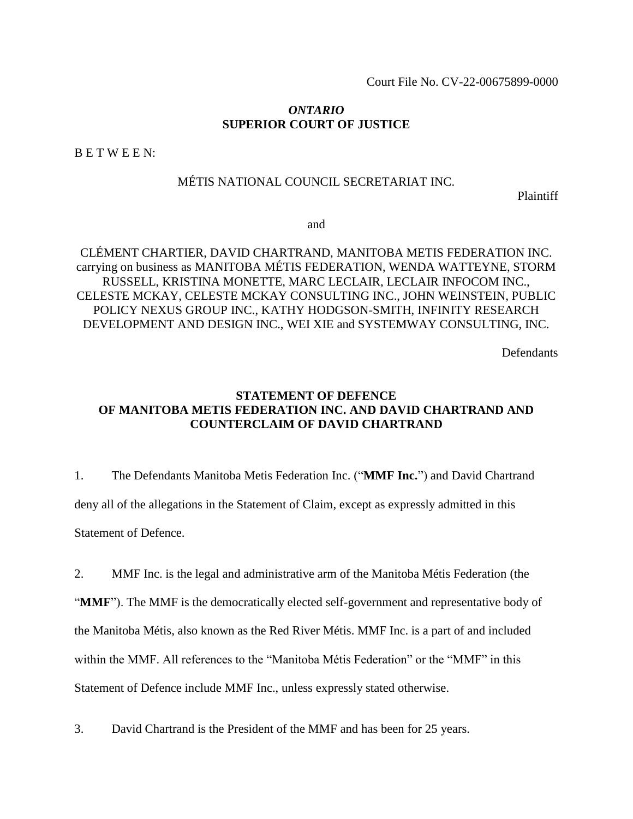Court File No. CV-22-00675899-0000

## *ONTARIO* **SUPERIOR COURT OF JUSTICE**

B E T W E E N:

# MÉTIS NATIONAL COUNCIL SECRETARIAT INC.

Plaintiff

and

# CLÉMENT CHARTIER, DAVID CHARTRAND, MANITOBA METIS FEDERATION INC. carrying on business as MANITOBA MÉTIS FEDERATION, WENDA WATTEYNE, STORM RUSSELL, KRISTINA MONETTE, MARC LECLAIR, LECLAIR INFOCOM INC., CELESTE MCKAY, CELESTE MCKAY CONSULTING INC., JOHN WEINSTEIN, PUBLIC POLICY NEXUS GROUP INC., KATHY HODGSON-SMITH, INFINITY RESEARCH DEVELOPMENT AND DESIGN INC., WEI XIE and SYSTEMWAY CONSULTING, INC.

**Defendants** 

# **STATEMENT OF DEFENCE OF MANITOBA METIS FEDERATION INC. AND DAVID CHARTRAND AND COUNTERCLAIM OF DAVID CHARTRAND**

1. The Defendants Manitoba Metis Federation Inc. ("**MMF Inc.**") and David Chartrand deny all of the allegations in the Statement of Claim, except as expressly admitted in this Statement of Defence.

2. MMF Inc. is the legal and administrative arm of the Manitoba Métis Federation (the "**MMF**"). The MMF is the democratically elected self-government and representative body of the Manitoba Métis, also known as the Red River Métis. MMF Inc. is a part of and included within the MMF. All references to the "Manitoba Métis Federation" or the "MMF" in this Statement of Defence include MMF Inc., unless expressly stated otherwise.

3. David Chartrand is the President of the MMF and has been for 25 years.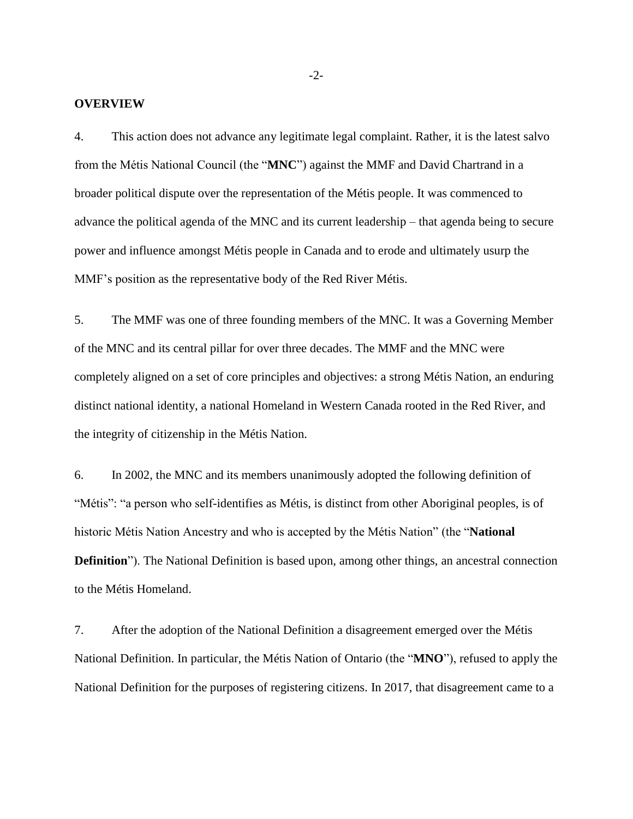#### **OVERVIEW**

4. This action does not advance any legitimate legal complaint. Rather, it is the latest salvo from the Métis National Council (the "**MNC**") against the MMF and David Chartrand in a broader political dispute over the representation of the Métis people. It was commenced to advance the political agenda of the MNC and its current leadership – that agenda being to secure power and influence amongst Métis people in Canada and to erode and ultimately usurp the MMF's position as the representative body of the Red River Métis.

5. The MMF was one of three founding members of the MNC. It was a Governing Member of the MNC and its central pillar for over three decades. The MMF and the MNC were completely aligned on a set of core principles and objectives: a strong Métis Nation, an enduring distinct national identity, a national Homeland in Western Canada rooted in the Red River, and the integrity of citizenship in the Métis Nation.

6. In 2002, the MNC and its members unanimously adopted the following definition of "Métis": "a person who self-identifies as Métis, is distinct from other Aboriginal peoples, is of historic Métis Nation Ancestry and who is accepted by the Métis Nation" (the "**National Definition**"). The National Definition is based upon, among other things, an ancestral connection to the Métis Homeland.

7. After the adoption of the National Definition a disagreement emerged over the Métis National Definition. In particular, the Métis Nation of Ontario (the "**MNO**"), refused to apply the National Definition for the purposes of registering citizens. In 2017, that disagreement came to a

-2-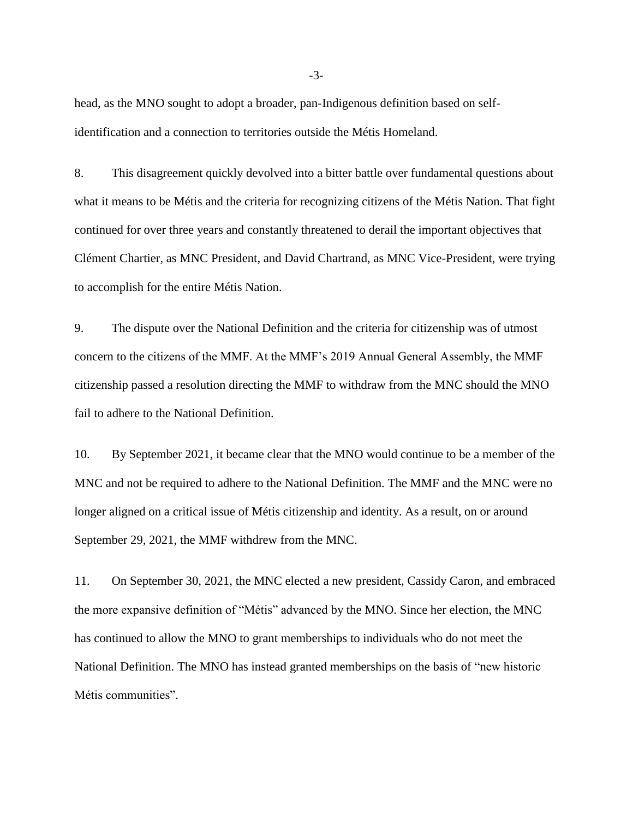head, as the MNO sought to adopt a broader, pan-Indigenous definition based on selfidentification and a connection to territories outside the Métis Homeland.

8. This disagreement quickly devolved into a bitter battle over fundamental questions about what it means to be Métis and the criteria for recognizing citizens of the Métis Nation. That fight continued for over three years and constantly threatened to derail the important objectives that Clément Chartier, as MNC President, and David Chartrand, as MNC Vice-President, were trying to accomplish for the entire Métis Nation.

9. The dispute over the National Definition and the criteria for citizenship was of utmost concern to the citizens of the MMF. At the MMF's 2019 Annual General Assembly, the MMF citizenship passed a resolution directing the MMF to withdraw from the MNC should the MNO fail to adhere to the National Definition.

10. By September 2021, it became clear that the MNO would continue to be a member of the MNC and not be required to adhere to the National Definition. The MMF and the MNC were no longer aligned on a critical issue of Métis citizenship and identity. As a result, on or around September 29, 2021, the MMF withdrew from the MNC.

11. On September 30, 2021, the MNC elected a new president, Cassidy Caron, and embraced the more expansive definition of "Métis" advanced by the MNO. Since her election, the MNC has continued to allow the MNO to grant memberships to individuals who do not meet the National Definition. The MNO has instead granted memberships on the basis of "new historic Métis communities".

-3-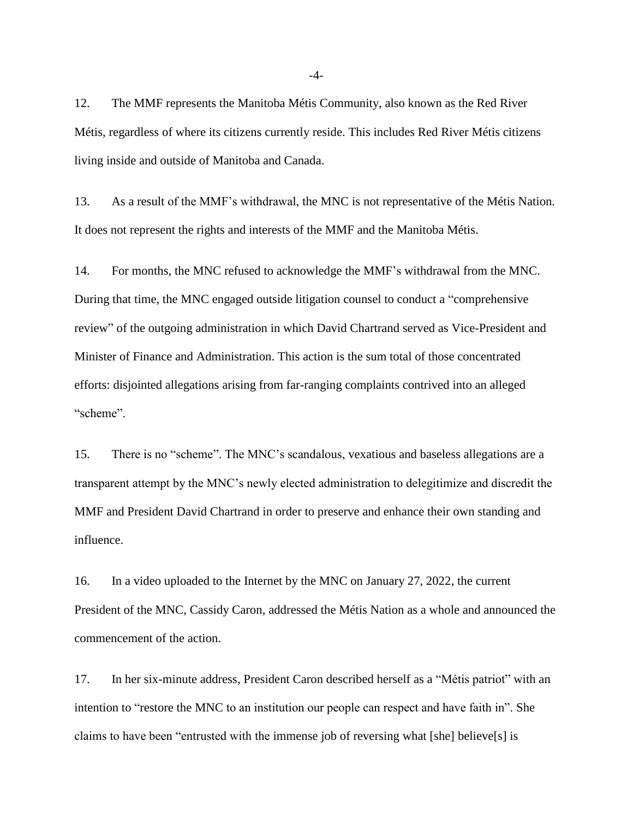12. The MMF represents the Manitoba Métis Community, also known as the Red River Métis, regardless of where its citizens currently reside. This includes Red River Métis citizens living inside and outside of Manitoba and Canada.

13. As a result of the MMF's withdrawal, the MNC is not representative of the Métis Nation. It does not represent the rights and interests of the MMF and the Manitoba Métis.

14. For months, the MNC refused to acknowledge the MMF's withdrawal from the MNC. During that time, the MNC engaged outside litigation counsel to conduct a "comprehensive review" of the outgoing administration in which David Chartrand served as Vice-President and Minister of Finance and Administration. This action is the sum total of those concentrated efforts: disjointed allegations arising from far-ranging complaints contrived into an alleged "scheme".

15. There is no "scheme". The MNC's scandalous, vexatious and baseless allegations are a transparent attempt by the MNC's newly elected administration to delegitimize and discredit the MMF and President David Chartrand in order to preserve and enhance their own standing and influence.

16. In a video uploaded to the Internet by the MNC on January 27, 2022, the current President of the MNC, Cassidy Caron, addressed the Métis Nation as a whole and announced the commencement of the action.

17. In her six-minute address, President Caron described herself as a "Métis patriot" with an intention to "restore the MNC to an institution our people can respect and have faith in". She claims to have been "entrusted with the immense job of reversing what [she] believe[s] is

-4-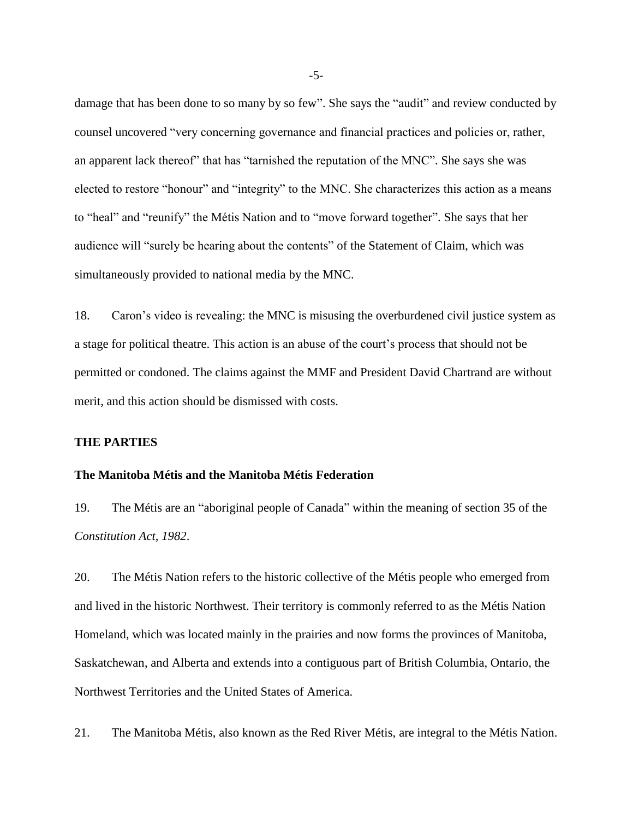damage that has been done to so many by so few". She says the "audit" and review conducted by counsel uncovered "very concerning governance and financial practices and policies or, rather, an apparent lack thereof" that has "tarnished the reputation of the MNC". She says she was elected to restore "honour" and "integrity" to the MNC. She characterizes this action as a means to "heal" and "reunify" the Métis Nation and to "move forward together". She says that her audience will "surely be hearing about the contents" of the Statement of Claim, which was simultaneously provided to national media by the MNC.

18. Caron's video is revealing: the MNC is misusing the overburdened civil justice system as a stage for political theatre. This action is an abuse of the court's process that should not be permitted or condoned. The claims against the MMF and President David Chartrand are without merit, and this action should be dismissed with costs.

#### **THE PARTIES**

#### **The Manitoba Métis and the Manitoba Métis Federation**

19. The Métis are an "aboriginal people of Canada" within the meaning of section 35 of the *Constitution Act, 1982*.

20. The Métis Nation refers to the historic collective of the Métis people who emerged from and lived in the historic Northwest. Their territory is commonly referred to as the Métis Nation Homeland, which was located mainly in the prairies and now forms the provinces of Manitoba, Saskatchewan, and Alberta and extends into a contiguous part of British Columbia, Ontario, the Northwest Territories and the United States of America.

21. The Manitoba Métis, also known as the Red River Métis, are integral to the Métis Nation.

-5-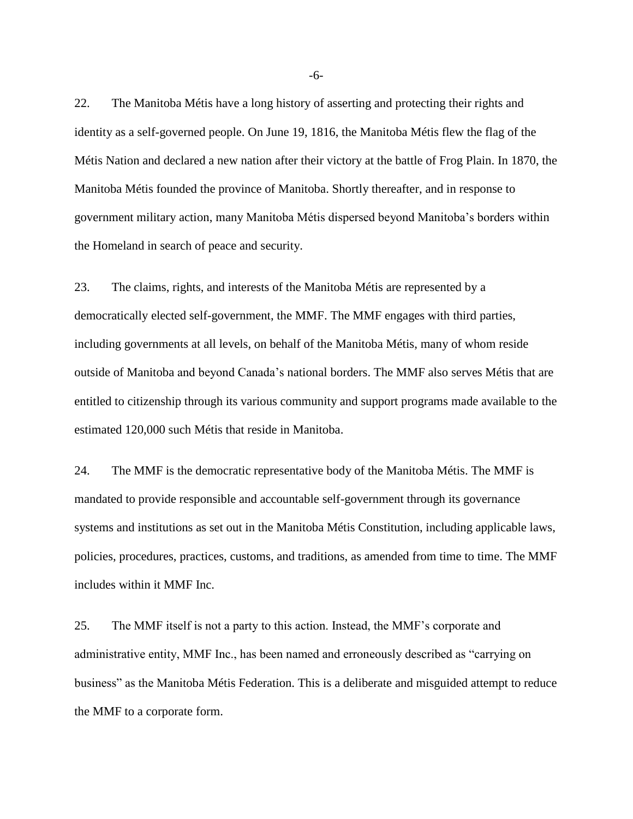22. The Manitoba Métis have a long history of asserting and protecting their rights and identity as a self-governed people. On June 19, 1816, the Manitoba Métis flew the flag of the Métis Nation and declared a new nation after their victory at the battle of Frog Plain. In 1870, the Manitoba Métis founded the province of Manitoba. Shortly thereafter, and in response to government military action, many Manitoba Métis dispersed beyond Manitoba's borders within the Homeland in search of peace and security.

23. The claims, rights, and interests of the Manitoba Métis are represented by a democratically elected self-government, the MMF. The MMF engages with third parties, including governments at all levels, on behalf of the Manitoba Métis, many of whom reside outside of Manitoba and beyond Canada's national borders. The MMF also serves Métis that are entitled to citizenship through its various community and support programs made available to the estimated 120,000 such Métis that reside in Manitoba.

24. The MMF is the democratic representative body of the Manitoba Métis. The MMF is mandated to provide responsible and accountable self-government through its governance systems and institutions as set out in the Manitoba Métis Constitution, including applicable laws, policies, procedures, practices, customs, and traditions, as amended from time to time. The MMF includes within it MMF Inc.

25. The MMF itself is not a party to this action. Instead, the MMF's corporate and administrative entity, MMF Inc., has been named and erroneously described as "carrying on business" as the Manitoba Métis Federation. This is a deliberate and misguided attempt to reduce the MMF to a corporate form.

-6-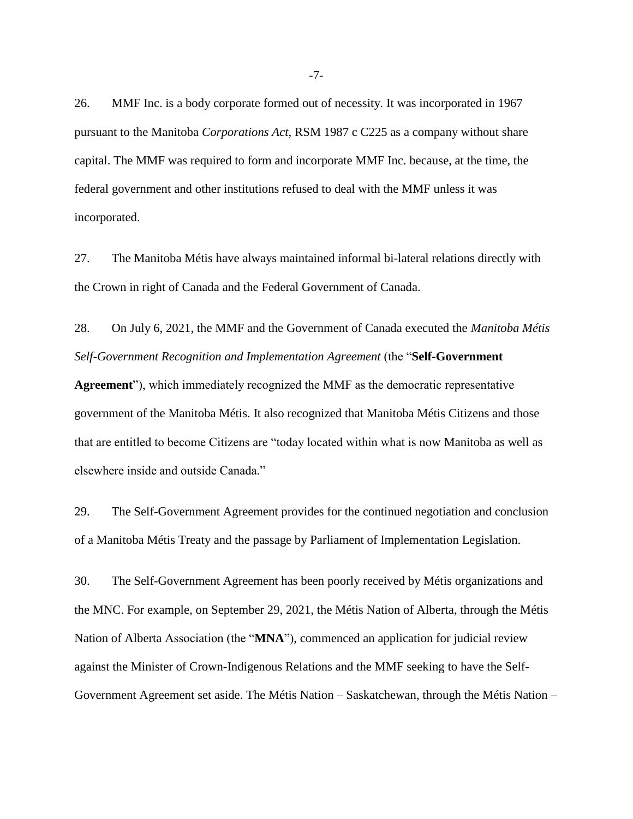26. MMF Inc. is a body corporate formed out of necessity. It was incorporated in 1967 pursuant to the Manitoba *Corporations Act*, RSM 1987 c C225 as a company without share capital. The MMF was required to form and incorporate MMF Inc. because, at the time, the federal government and other institutions refused to deal with the MMF unless it was incorporated.

27. The Manitoba Métis have always maintained informal bi-lateral relations directly with the Crown in right of Canada and the Federal Government of Canada.

28. On July 6, 2021, the MMF and the Government of Canada executed the *Manitoba Métis Self-Government Recognition and Implementation Agreement* (the "**Self-Government** 

**Agreement**"), which immediately recognized the MMF as the democratic representative government of the Manitoba Métis. It also recognized that Manitoba Métis Citizens and those that are entitled to become Citizens are "today located within what is now Manitoba as well as elsewhere inside and outside Canada."

29. The Self-Government Agreement provides for the continued negotiation and conclusion of a Manitoba Métis Treaty and the passage by Parliament of Implementation Legislation.

30. The Self-Government Agreement has been poorly received by Métis organizations and the MNC. For example, on September 29, 2021, the Métis Nation of Alberta, through the Métis Nation of Alberta Association (the "**MNA**"), commenced an application for judicial review against the Minister of Crown-Indigenous Relations and the MMF seeking to have the Self-Government Agreement set aside. The Métis Nation – Saskatchewan, through the Métis Nation –

-7-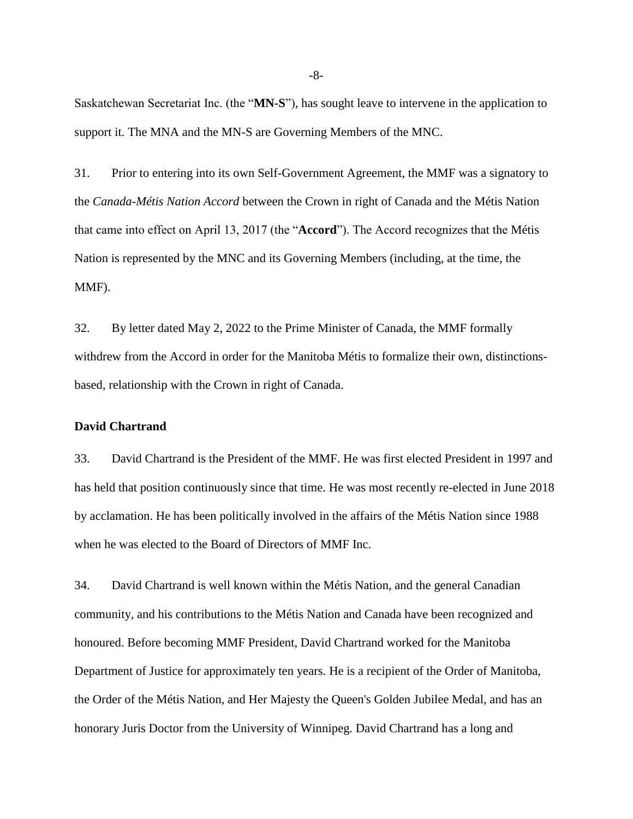Saskatchewan Secretariat Inc. (the "**MN-S**"), has sought leave to intervene in the application to support it. The MNA and the MN-S are Governing Members of the MNC.

31. Prior to entering into its own Self-Government Agreement, the MMF was a signatory to the *Canada-Métis Nation Accord* between the Crown in right of Canada and the Métis Nation that came into effect on April 13, 2017 (the "**Accord**"). The Accord recognizes that the Métis Nation is represented by the MNC and its Governing Members (including, at the time, the MMF).

32. By letter dated May 2, 2022 to the Prime Minister of Canada, the MMF formally withdrew from the Accord in order for the Manitoba Métis to formalize their own, distinctionsbased, relationship with the Crown in right of Canada.

#### **David Chartrand**

33. David Chartrand is the President of the MMF. He was first elected President in 1997 and has held that position continuously since that time. He was most recently re-elected in June 2018 by acclamation. He has been politically involved in the affairs of the Métis Nation since 1988 when he was elected to the Board of Directors of MMF Inc.

34. David Chartrand is well known within the Métis Nation, and the general Canadian community, and his contributions to the Métis Nation and Canada have been recognized and honoured. Before becoming MMF President, David Chartrand worked for the Manitoba Department of Justice for approximately ten years. He is a recipient of the Order of Manitoba, the Order of the Métis Nation, and Her Majesty the Queen's Golden Jubilee Medal, and has an honorary Juris Doctor from the University of Winnipeg. David Chartrand has a long and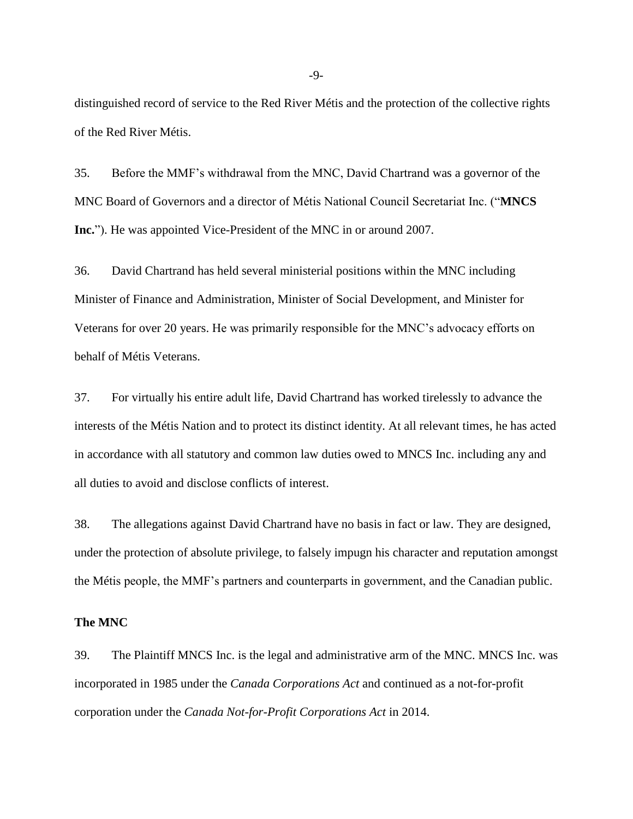distinguished record of service to the Red River Métis and the protection of the collective rights of the Red River Métis.

35. Before the MMF's withdrawal from the MNC, David Chartrand was a governor of the MNC Board of Governors and a director of Métis National Council Secretariat Inc. ("**MNCS Inc.**"). He was appointed Vice-President of the MNC in or around 2007.

36. David Chartrand has held several ministerial positions within the MNC including Minister of Finance and Administration, Minister of Social Development, and Minister for Veterans for over 20 years. He was primarily responsible for the MNC's advocacy efforts on behalf of Métis Veterans.

37. For virtually his entire adult life, David Chartrand has worked tirelessly to advance the interests of the Métis Nation and to protect its distinct identity. At all relevant times, he has acted in accordance with all statutory and common law duties owed to MNCS Inc. including any and all duties to avoid and disclose conflicts of interest.

38. The allegations against David Chartrand have no basis in fact or law. They are designed, under the protection of absolute privilege, to falsely impugn his character and reputation amongst the Métis people, the MMF's partners and counterparts in government, and the Canadian public.

#### **The MNC**

39. The Plaintiff MNCS Inc. is the legal and administrative arm of the MNC. MNCS Inc. was incorporated in 1985 under the *Canada Corporations Act* and continued as a not-for-profit corporation under the *Canada Not-for-Profit Corporations Act* in 2014.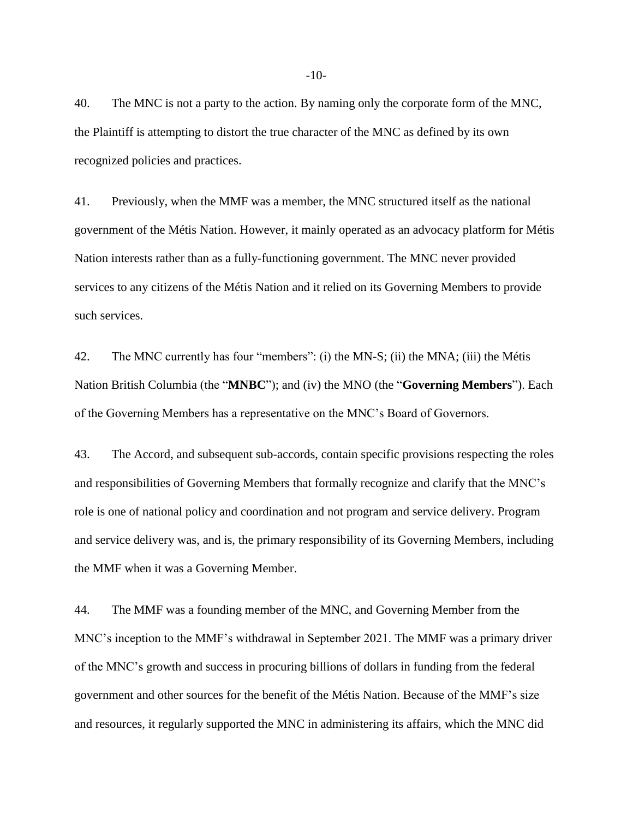40. The MNC is not a party to the action. By naming only the corporate form of the MNC, the Plaintiff is attempting to distort the true character of the MNC as defined by its own recognized policies and practices.

41. Previously, when the MMF was a member, the MNC structured itself as the national government of the Métis Nation. However, it mainly operated as an advocacy platform for Métis Nation interests rather than as a fully-functioning government. The MNC never provided services to any citizens of the Métis Nation and it relied on its Governing Members to provide such services.

42. The MNC currently has four "members": (i) the MN-S; (ii) the MNA; (iii) the Métis Nation British Columbia (the "**MNBC**"); and (iv) the MNO (the "**Governing Members**"). Each of the Governing Members has a representative on the MNC's Board of Governors.

43. The Accord, and subsequent sub-accords, contain specific provisions respecting the roles and responsibilities of Governing Members that formally recognize and clarify that the MNC's role is one of national policy and coordination and not program and service delivery. Program and service delivery was, and is, the primary responsibility of its Governing Members, including the MMF when it was a Governing Member.

44. The MMF was a founding member of the MNC, and Governing Member from the MNC's inception to the MMF's withdrawal in September 2021. The MMF was a primary driver of the MNC's growth and success in procuring billions of dollars in funding from the federal government and other sources for the benefit of the Métis Nation. Because of the MMF's size and resources, it regularly supported the MNC in administering its affairs, which the MNC did

-10-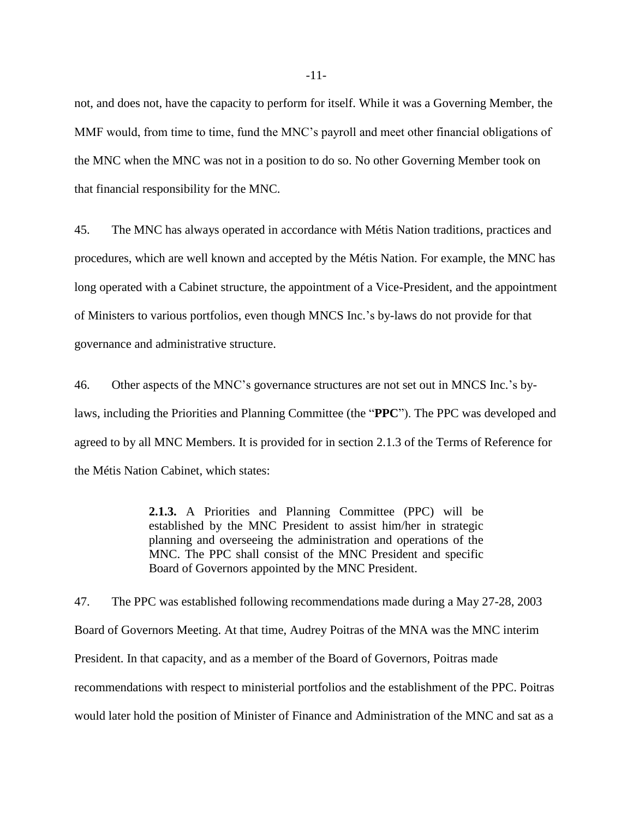not, and does not, have the capacity to perform for itself. While it was a Governing Member, the MMF would, from time to time, fund the MNC's payroll and meet other financial obligations of the MNC when the MNC was not in a position to do so. No other Governing Member took on that financial responsibility for the MNC.

45. The MNC has always operated in accordance with Métis Nation traditions, practices and procedures, which are well known and accepted by the Métis Nation. For example, the MNC has long operated with a Cabinet structure, the appointment of a Vice-President, and the appointment of Ministers to various portfolios, even though MNCS Inc.'s by-laws do not provide for that governance and administrative structure.

46. Other aspects of the MNC's governance structures are not set out in MNCS Inc.'s bylaws, including the Priorities and Planning Committee (the "**PPC**"). The PPC was developed and agreed to by all MNC Members. It is provided for in section 2.1.3 of the Terms of Reference for the Métis Nation Cabinet, which states:

> **2.1.3.** A Priorities and Planning Committee (PPC) will be established by the MNC President to assist him/her in strategic planning and overseeing the administration and operations of the MNC. The PPC shall consist of the MNC President and specific Board of Governors appointed by the MNC President.

47. The PPC was established following recommendations made during a May 27-28, 2003 Board of Governors Meeting. At that time, Audrey Poitras of the MNA was the MNC interim President. In that capacity, and as a member of the Board of Governors, Poitras made recommendations with respect to ministerial portfolios and the establishment of the PPC. Poitras would later hold the position of Minister of Finance and Administration of the MNC and sat as a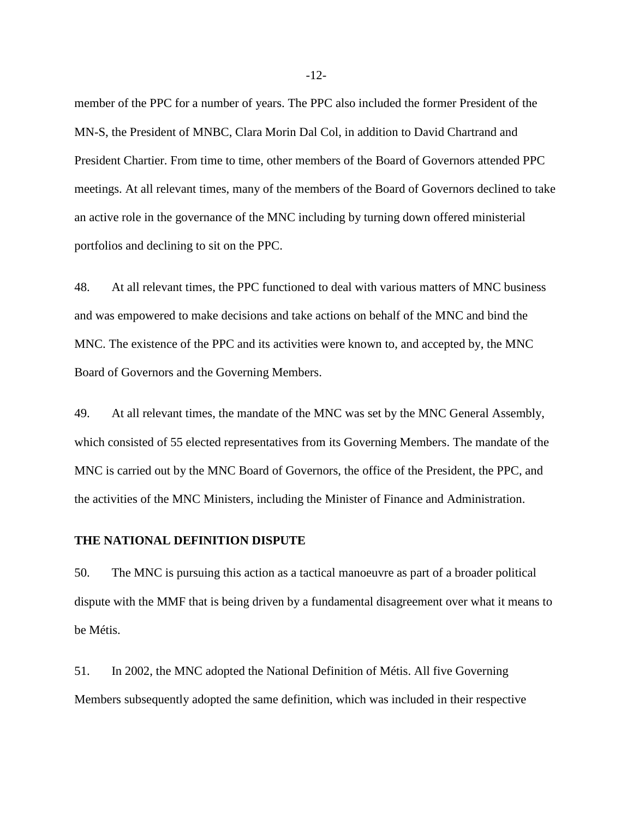member of the PPC for a number of years. The PPC also included the former President of the MN-S, the President of MNBC, Clara Morin Dal Col, in addition to David Chartrand and President Chartier. From time to time, other members of the Board of Governors attended PPC meetings. At all relevant times, many of the members of the Board of Governors declined to take an active role in the governance of the MNC including by turning down offered ministerial portfolios and declining to sit on the PPC.

48. At all relevant times, the PPC functioned to deal with various matters of MNC business and was empowered to make decisions and take actions on behalf of the MNC and bind the MNC. The existence of the PPC and its activities were known to, and accepted by, the MNC Board of Governors and the Governing Members.

49. At all relevant times, the mandate of the MNC was set by the MNC General Assembly, which consisted of 55 elected representatives from its Governing Members. The mandate of the MNC is carried out by the MNC Board of Governors, the office of the President, the PPC, and the activities of the MNC Ministers, including the Minister of Finance and Administration.

## **THE NATIONAL DEFINITION DISPUTE**

50. The MNC is pursuing this action as a tactical manoeuvre as part of a broader political dispute with the MMF that is being driven by a fundamental disagreement over what it means to be Métis.

51. In 2002, the MNC adopted the National Definition of Métis. All five Governing Members subsequently adopted the same definition, which was included in their respective

-12-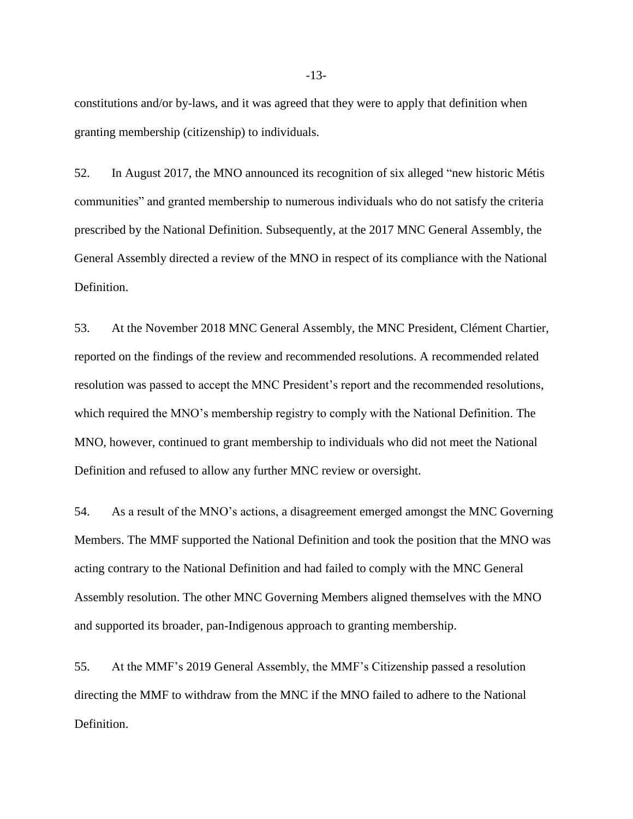constitutions and/or by-laws, and it was agreed that they were to apply that definition when granting membership (citizenship) to individuals.

52. In August 2017, the MNO announced its recognition of six alleged "new historic Métis communities" and granted membership to numerous individuals who do not satisfy the criteria prescribed by the National Definition. Subsequently, at the 2017 MNC General Assembly, the General Assembly directed a review of the MNO in respect of its compliance with the National Definition.

53. At the November 2018 MNC General Assembly, the MNC President, Clément Chartier, reported on the findings of the review and recommended resolutions. A recommended related resolution was passed to accept the MNC President's report and the recommended resolutions, which required the MNO's membership registry to comply with the National Definition. The MNO, however, continued to grant membership to individuals who did not meet the National Definition and refused to allow any further MNC review or oversight.

54. As a result of the MNO's actions, a disagreement emerged amongst the MNC Governing Members. The MMF supported the National Definition and took the position that the MNO was acting contrary to the National Definition and had failed to comply with the MNC General Assembly resolution. The other MNC Governing Members aligned themselves with the MNO and supported its broader, pan-Indigenous approach to granting membership.

55. At the MMF's 2019 General Assembly, the MMF's Citizenship passed a resolution directing the MMF to withdraw from the MNC if the MNO failed to adhere to the National Definition.

-13-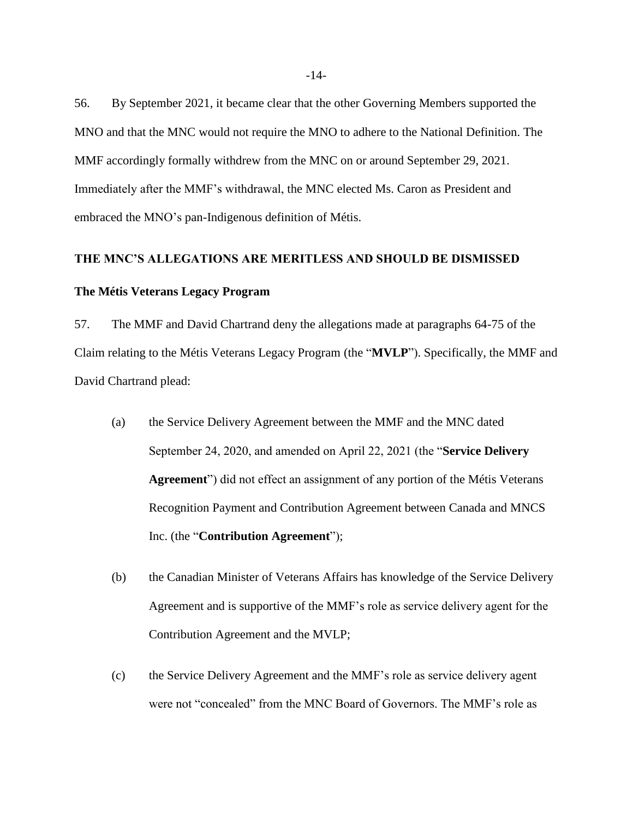56. By September 2021, it became clear that the other Governing Members supported the MNO and that the MNC would not require the MNO to adhere to the National Definition. The MMF accordingly formally withdrew from the MNC on or around September 29, 2021. Immediately after the MMF's withdrawal, the MNC elected Ms. Caron as President and embraced the MNO's pan-Indigenous definition of Métis.

## **THE MNC'S ALLEGATIONS ARE MERITLESS AND SHOULD BE DISMISSED**

#### **The Métis Veterans Legacy Program**

57. The MMF and David Chartrand deny the allegations made at paragraphs 64-75 of the Claim relating to the Métis Veterans Legacy Program (the "**MVLP**"). Specifically, the MMF and David Chartrand plead:

- (a) the Service Delivery Agreement between the MMF and the MNC dated September 24, 2020, and amended on April 22, 2021 (the "**Service Delivery Agreement**") did not effect an assignment of any portion of the Métis Veterans Recognition Payment and Contribution Agreement between Canada and MNCS Inc. (the "**Contribution Agreement**");
- (b) the Canadian Minister of Veterans Affairs has knowledge of the Service Delivery Agreement and is supportive of the MMF's role as service delivery agent for the Contribution Agreement and the MVLP;
- (c) the Service Delivery Agreement and the MMF's role as service delivery agent were not "concealed" from the MNC Board of Governors. The MMF's role as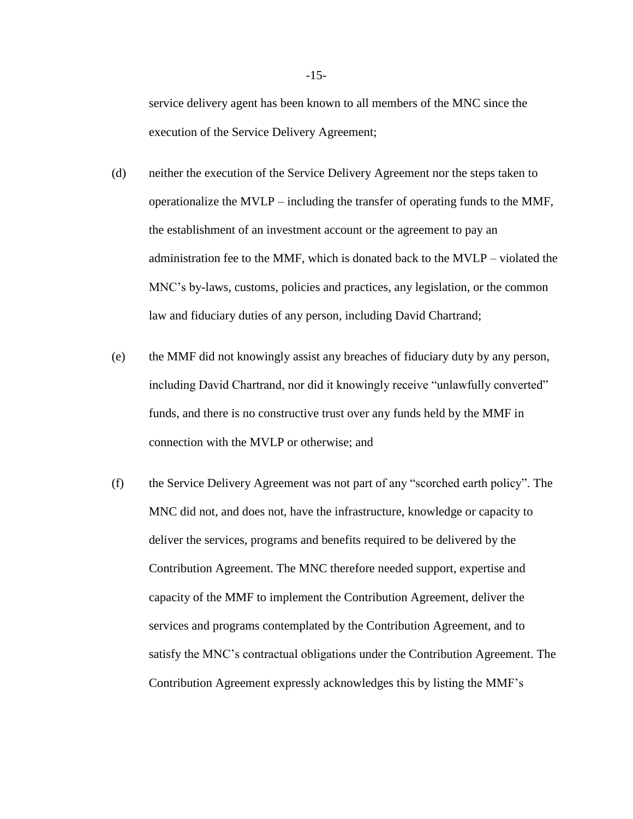service delivery agent has been known to all members of the MNC since the execution of the Service Delivery Agreement;

- (d) neither the execution of the Service Delivery Agreement nor the steps taken to operationalize the MVLP – including the transfer of operating funds to the MMF, the establishment of an investment account or the agreement to pay an administration fee to the MMF, which is donated back to the MVLP – violated the MNC's by-laws, customs, policies and practices, any legislation, or the common law and fiduciary duties of any person, including David Chartrand;
- (e) the MMF did not knowingly assist any breaches of fiduciary duty by any person, including David Chartrand, nor did it knowingly receive "unlawfully converted" funds, and there is no constructive trust over any funds held by the MMF in connection with the MVLP or otherwise; and
- (f) the Service Delivery Agreement was not part of any "scorched earth policy". The MNC did not, and does not, have the infrastructure, knowledge or capacity to deliver the services, programs and benefits required to be delivered by the Contribution Agreement. The MNC therefore needed support, expertise and capacity of the MMF to implement the Contribution Agreement, deliver the services and programs contemplated by the Contribution Agreement, and to satisfy the MNC's contractual obligations under the Contribution Agreement. The Contribution Agreement expressly acknowledges this by listing the MMF's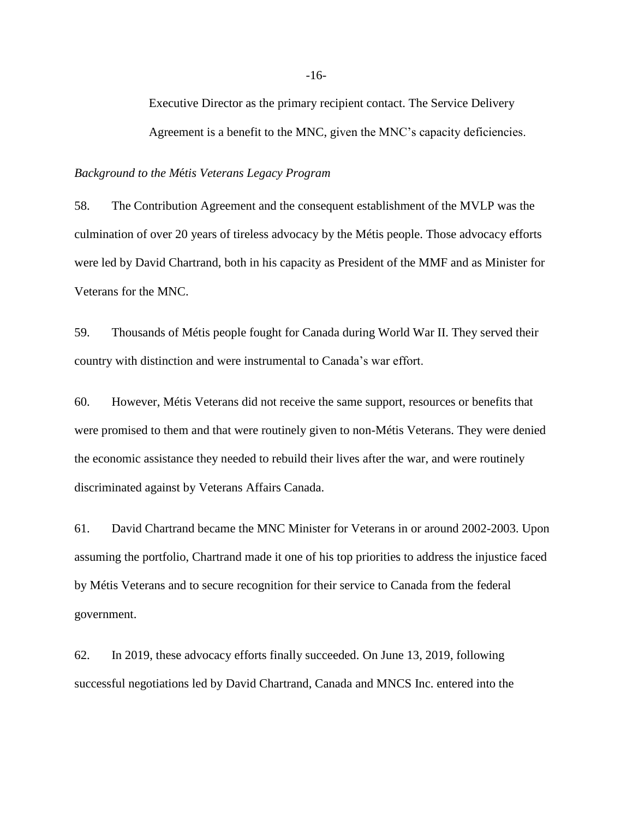Executive Director as the primary recipient contact. The Service Delivery Agreement is a benefit to the MNC, given the MNC's capacity deficiencies.

*Background to the M*é*tis Veterans Legacy Program*

58. The Contribution Agreement and the consequent establishment of the MVLP was the culmination of over 20 years of tireless advocacy by the Métis people. Those advocacy efforts were led by David Chartrand, both in his capacity as President of the MMF and as Minister for Veterans for the MNC.

59. Thousands of Métis people fought for Canada during World War II. They served their country with distinction and were instrumental to Canada's war effort.

60. However, Métis Veterans did not receive the same support, resources or benefits that were promised to them and that were routinely given to non-Métis Veterans. They were denied the economic assistance they needed to rebuild their lives after the war, and were routinely discriminated against by Veterans Affairs Canada.

61. David Chartrand became the MNC Minister for Veterans in or around 2002-2003. Upon assuming the portfolio, Chartrand made it one of his top priorities to address the injustice faced by Métis Veterans and to secure recognition for their service to Canada from the federal government.

62. In 2019, these advocacy efforts finally succeeded. On June 13, 2019, following successful negotiations led by David Chartrand, Canada and MNCS Inc. entered into the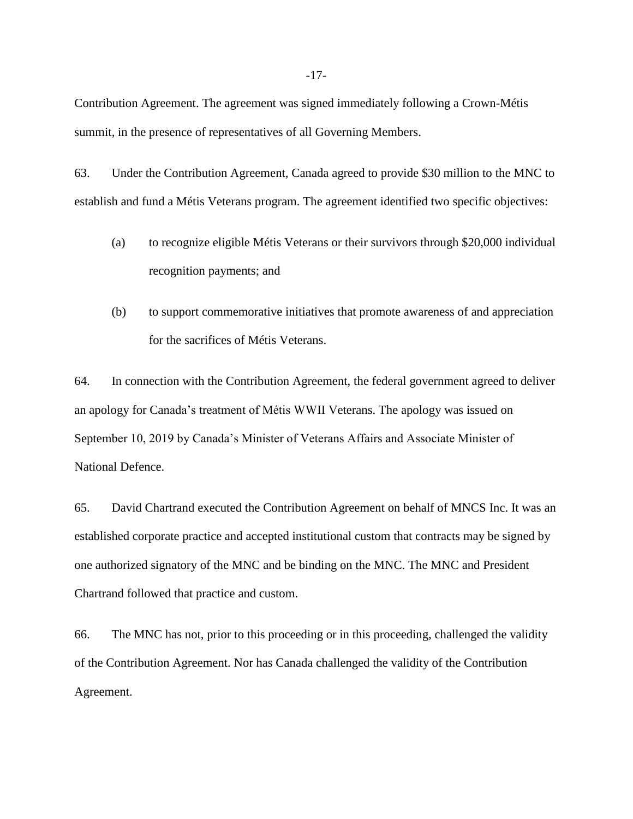Contribution Agreement. The agreement was signed immediately following a Crown-Métis summit, in the presence of representatives of all Governing Members.

63. Under the Contribution Agreement, Canada agreed to provide \$30 million to the MNC to establish and fund a Métis Veterans program. The agreement identified two specific objectives:

- (a) to recognize eligible Métis Veterans or their survivors through \$20,000 individual recognition payments; and
- (b) to support commemorative initiatives that promote awareness of and appreciation for the sacrifices of Métis Veterans.

64. In connection with the Contribution Agreement, the federal government agreed to deliver an apology for Canada's treatment of Métis WWII Veterans. The apology was issued on September 10, 2019 by Canada's Minister of Veterans Affairs and Associate Minister of National Defence.

65. David Chartrand executed the Contribution Agreement on behalf of MNCS Inc. It was an established corporate practice and accepted institutional custom that contracts may be signed by one authorized signatory of the MNC and be binding on the MNC. The MNC and President Chartrand followed that practice and custom.

66. The MNC has not, prior to this proceeding or in this proceeding, challenged the validity of the Contribution Agreement. Nor has Canada challenged the validity of the Contribution Agreement.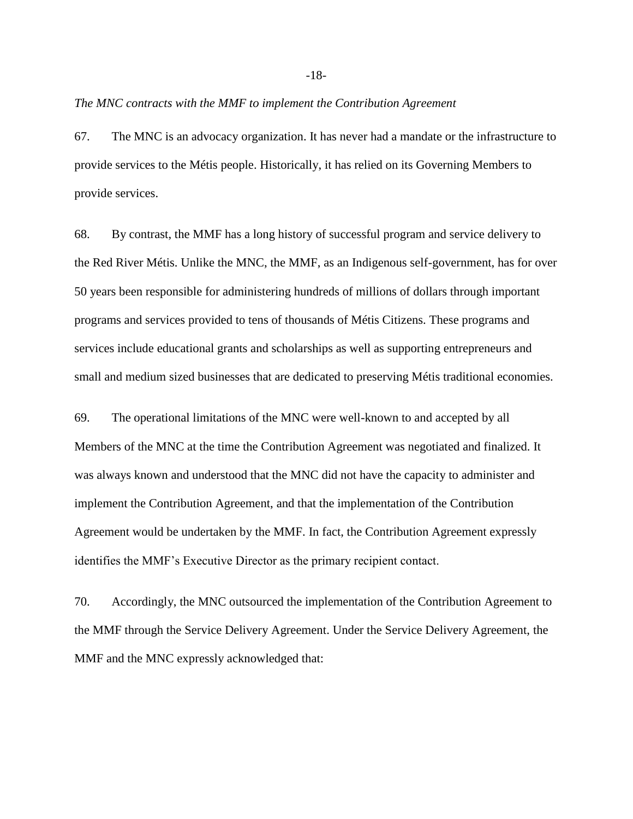#### *The MNC contracts with the MMF to implement the Contribution Agreement*

67. The MNC is an advocacy organization. It has never had a mandate or the infrastructure to provide services to the Métis people. Historically, it has relied on its Governing Members to provide services.

68. By contrast, the MMF has a long history of successful program and service delivery to the Red River Métis. Unlike the MNC, the MMF, as an Indigenous self-government, has for over 50 years been responsible for administering hundreds of millions of dollars through important programs and services provided to tens of thousands of Métis Citizens. These programs and services include educational grants and scholarships as well as supporting entrepreneurs and small and medium sized businesses that are dedicated to preserving Métis traditional economies.

69. The operational limitations of the MNC were well-known to and accepted by all Members of the MNC at the time the Contribution Agreement was negotiated and finalized. It was always known and understood that the MNC did not have the capacity to administer and implement the Contribution Agreement, and that the implementation of the Contribution Agreement would be undertaken by the MMF. In fact, the Contribution Agreement expressly identifies the MMF's Executive Director as the primary recipient contact.

70. Accordingly, the MNC outsourced the implementation of the Contribution Agreement to the MMF through the Service Delivery Agreement. Under the Service Delivery Agreement, the MMF and the MNC expressly acknowledged that: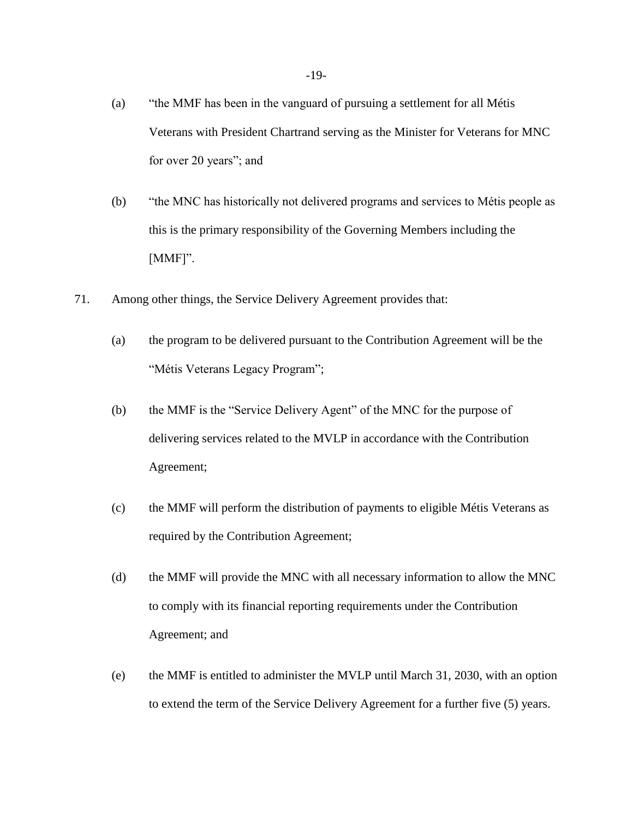- (a) "the MMF has been in the vanguard of pursuing a settlement for all Métis Veterans with President Chartrand serving as the Minister for Veterans for MNC for over 20 years"; and
- (b) "the MNC has historically not delivered programs and services to Métis people as this is the primary responsibility of the Governing Members including the [MMF]".
- 71. Among other things, the Service Delivery Agreement provides that:
	- (a) the program to be delivered pursuant to the Contribution Agreement will be the "Métis Veterans Legacy Program";
	- (b) the MMF is the "Service Delivery Agent" of the MNC for the purpose of delivering services related to the MVLP in accordance with the Contribution Agreement;
	- (c) the MMF will perform the distribution of payments to eligible Métis Veterans as required by the Contribution Agreement;
	- (d) the MMF will provide the MNC with all necessary information to allow the MNC to comply with its financial reporting requirements under the Contribution Agreement; and
	- (e) the MMF is entitled to administer the MVLP until March 31, 2030, with an option to extend the term of the Service Delivery Agreement for a further five (5) years.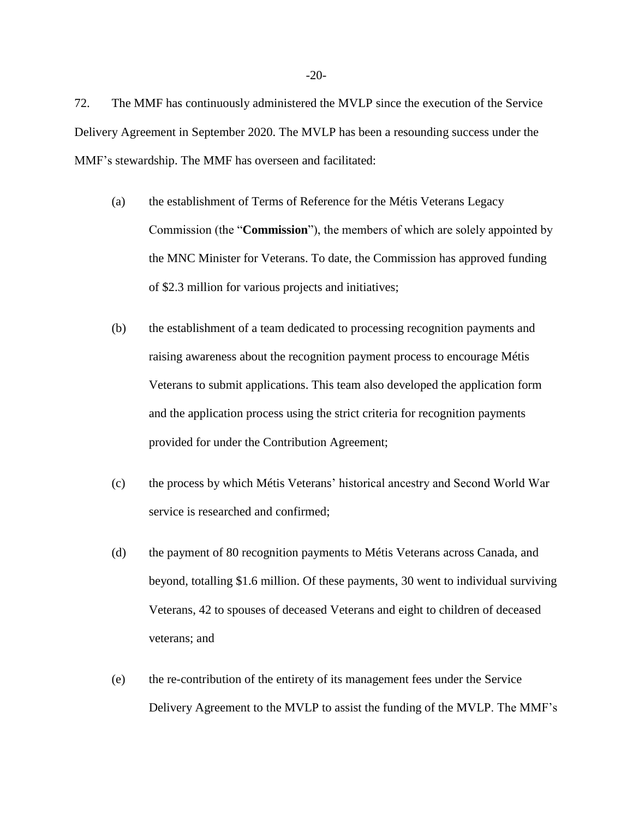72. The MMF has continuously administered the MVLP since the execution of the Service Delivery Agreement in September 2020. The MVLP has been a resounding success under the MMF's stewardship. The MMF has overseen and facilitated:

- (a) the establishment of Terms of Reference for the Métis Veterans Legacy Commission (the "**Commission**"), the members of which are solely appointed by the MNC Minister for Veterans. To date, the Commission has approved funding of \$2.3 million for various projects and initiatives;
- (b) the establishment of a team dedicated to processing recognition payments and raising awareness about the recognition payment process to encourage Métis Veterans to submit applications. This team also developed the application form and the application process using the strict criteria for recognition payments provided for under the Contribution Agreement;
- (c) the process by which Métis Veterans' historical ancestry and Second World War service is researched and confirmed;
- (d) the payment of 80 recognition payments to Métis Veterans across Canada, and beyond, totalling \$1.6 million. Of these payments, 30 went to individual surviving Veterans, 42 to spouses of deceased Veterans and eight to children of deceased veterans; and
- (e) the re-contribution of the entirety of its management fees under the Service Delivery Agreement to the MVLP to assist the funding of the MVLP. The MMF's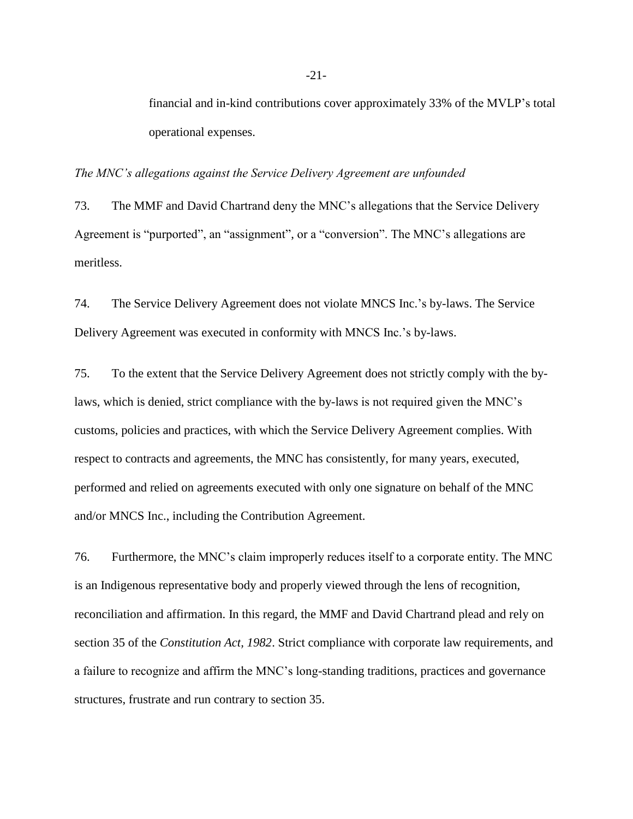financial and in-kind contributions cover approximately 33% of the MVLP's total operational expenses.

*The MNC's allegations against the Service Delivery Agreement are unfounded*

73. The MMF and David Chartrand deny the MNC's allegations that the Service Delivery Agreement is "purported", an "assignment", or a "conversion". The MNC's allegations are meritless.

74. The Service Delivery Agreement does not violate MNCS Inc.'s by-laws. The Service Delivery Agreement was executed in conformity with MNCS Inc.'s by-laws.

75. To the extent that the Service Delivery Agreement does not strictly comply with the bylaws, which is denied, strict compliance with the by-laws is not required given the MNC's customs, policies and practices, with which the Service Delivery Agreement complies. With respect to contracts and agreements, the MNC has consistently, for many years, executed, performed and relied on agreements executed with only one signature on behalf of the MNC and/or MNCS Inc., including the Contribution Agreement.

76. Furthermore, the MNC's claim improperly reduces itself to a corporate entity. The MNC is an Indigenous representative body and properly viewed through the lens of recognition, reconciliation and affirmation. In this regard, the MMF and David Chartrand plead and rely on section 35 of the *Constitution Act, 1982*. Strict compliance with corporate law requirements, and a failure to recognize and affirm the MNC's long-standing traditions, practices and governance structures, frustrate and run contrary to section 35.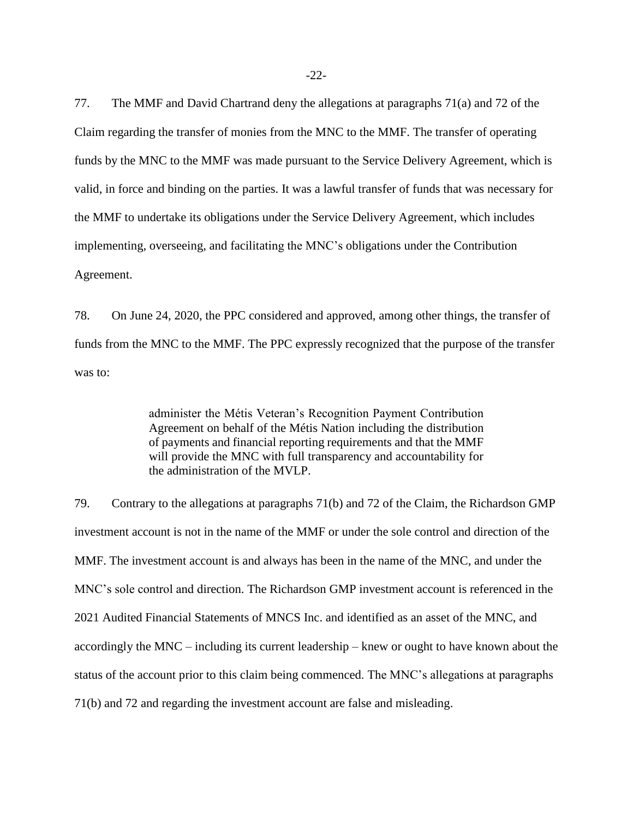77. The MMF and David Chartrand deny the allegations at paragraphs 71(a) and 72 of the Claim regarding the transfer of monies from the MNC to the MMF. The transfer of operating funds by the MNC to the MMF was made pursuant to the Service Delivery Agreement, which is valid, in force and binding on the parties. It was a lawful transfer of funds that was necessary for the MMF to undertake its obligations under the Service Delivery Agreement, which includes implementing, overseeing, and facilitating the MNC's obligations under the Contribution Agreement.

78. On June 24, 2020, the PPC considered and approved, among other things, the transfer of funds from the MNC to the MMF. The PPC expressly recognized that the purpose of the transfer was to:

> administer the Métis Veteran's Recognition Payment Contribution Agreement on behalf of the Métis Nation including the distribution of payments and financial reporting requirements and that the MMF will provide the MNC with full transparency and accountability for the administration of the MVLP.

79. Contrary to the allegations at paragraphs 71(b) and 72 of the Claim, the Richardson GMP investment account is not in the name of the MMF or under the sole control and direction of the MMF. The investment account is and always has been in the name of the MNC, and under the MNC's sole control and direction. The Richardson GMP investment account is referenced in the 2021 Audited Financial Statements of MNCS Inc. and identified as an asset of the MNC, and accordingly the MNC – including its current leadership – knew or ought to have known about the status of the account prior to this claim being commenced. The MNC's allegations at paragraphs 71(b) and 72 and regarding the investment account are false and misleading.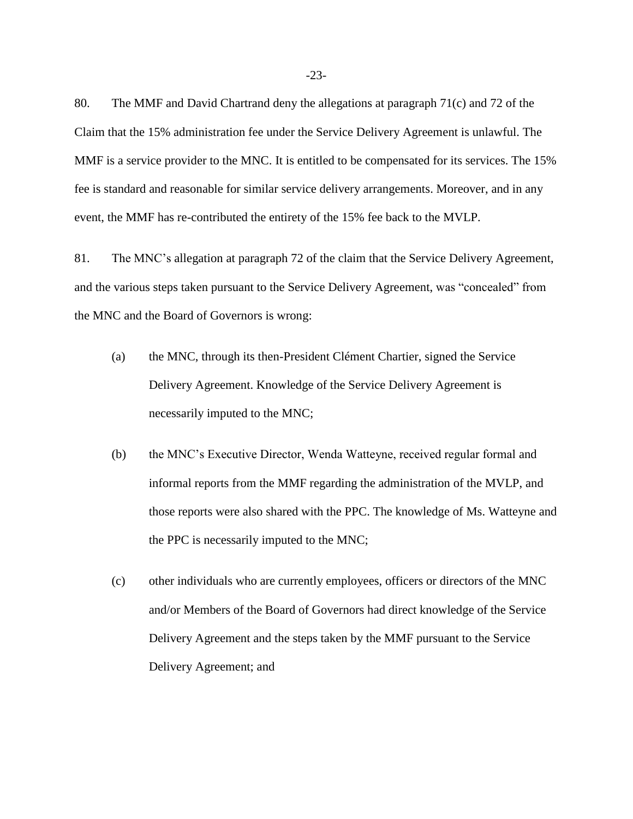80. The MMF and David Chartrand deny the allegations at paragraph 71(c) and 72 of the Claim that the 15% administration fee under the Service Delivery Agreement is unlawful. The MMF is a service provider to the MNC. It is entitled to be compensated for its services. The 15% fee is standard and reasonable for similar service delivery arrangements. Moreover, and in any event, the MMF has re-contributed the entirety of the 15% fee back to the MVLP.

81. The MNC's allegation at paragraph 72 of the claim that the Service Delivery Agreement, and the various steps taken pursuant to the Service Delivery Agreement, was "concealed" from the MNC and the Board of Governors is wrong:

- (a) the MNC, through its then-President Clément Chartier, signed the Service Delivery Agreement. Knowledge of the Service Delivery Agreement is necessarily imputed to the MNC;
- (b) the MNC's Executive Director, Wenda Watteyne, received regular formal and informal reports from the MMF regarding the administration of the MVLP, and those reports were also shared with the PPC. The knowledge of Ms. Watteyne and the PPC is necessarily imputed to the MNC;
- (c) other individuals who are currently employees, officers or directors of the MNC and/or Members of the Board of Governors had direct knowledge of the Service Delivery Agreement and the steps taken by the MMF pursuant to the Service Delivery Agreement; and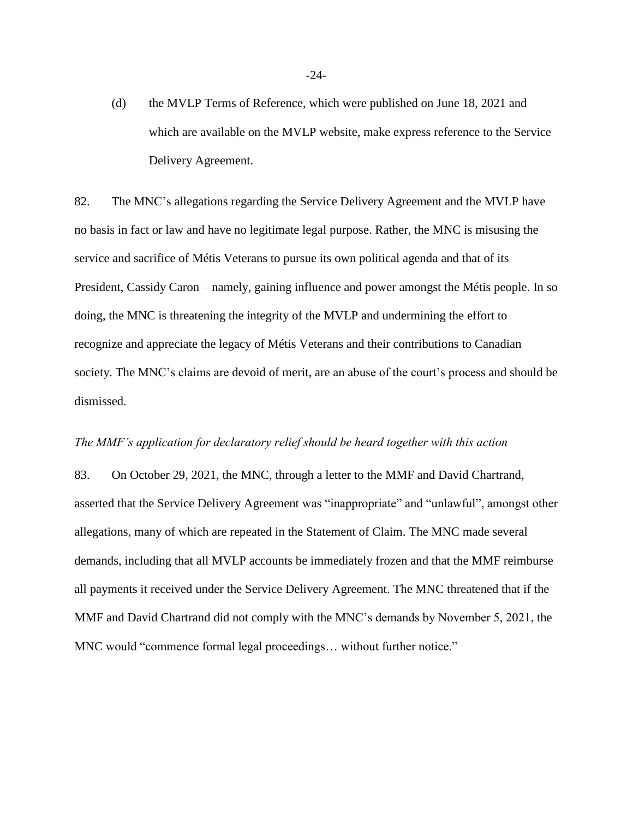(d) the MVLP Terms of Reference, which were published on June 18, 2021 and which are available on the MVLP website, make express reference to the Service Delivery Agreement.

82. The MNC's allegations regarding the Service Delivery Agreement and the MVLP have no basis in fact or law and have no legitimate legal purpose. Rather, the MNC is misusing the service and sacrifice of Métis Veterans to pursue its own political agenda and that of its President, Cassidy Caron – namely, gaining influence and power amongst the Métis people. In so doing, the MNC is threatening the integrity of the MVLP and undermining the effort to recognize and appreciate the legacy of Métis Veterans and their contributions to Canadian society. The MNC's claims are devoid of merit, are an abuse of the court's process and should be dismissed.

#### *The MMF's application for declaratory relief should be heard together with this action*

83. On October 29, 2021, the MNC, through a letter to the MMF and David Chartrand, asserted that the Service Delivery Agreement was "inappropriate" and "unlawful", amongst other allegations, many of which are repeated in the Statement of Claim. The MNC made several demands, including that all MVLP accounts be immediately frozen and that the MMF reimburse all payments it received under the Service Delivery Agreement. The MNC threatened that if the MMF and David Chartrand did not comply with the MNC's demands by November 5, 2021, the MNC would "commence formal legal proceedings… without further notice."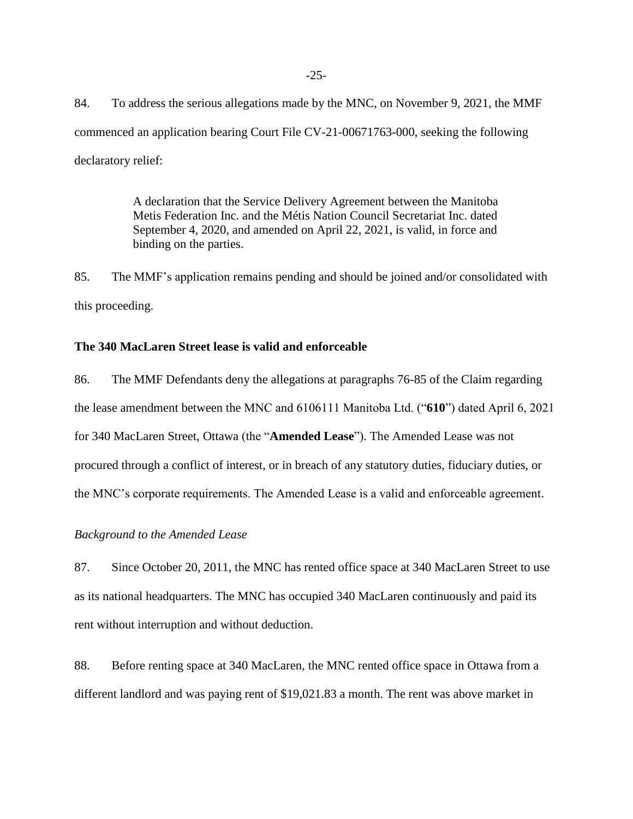84. To address the serious allegations made by the MNC, on November 9, 2021, the MMF commenced an application bearing Court File CV-21-00671763-000, seeking the following declaratory relief:

> A declaration that the Service Delivery Agreement between the Manitoba Metis Federation Inc. and the Métis Nation Council Secretariat Inc. dated September 4, 2020, and amended on April 22, 2021, is valid, in force and binding on the parties.

85. The MMF's application remains pending and should be joined and/or consolidated with this proceeding.

#### **The 340 MacLaren Street lease is valid and enforceable**

86. The MMF Defendants deny the allegations at paragraphs 76-85 of the Claim regarding the lease amendment between the MNC and 6106111 Manitoba Ltd. ("**610**") dated April 6, 2021 for 340 MacLaren Street, Ottawa (the "**Amended Lease**"). The Amended Lease was not procured through a conflict of interest, or in breach of any statutory duties, fiduciary duties, or the MNC's corporate requirements. The Amended Lease is a valid and enforceable agreement.

# *Background to the Amended Lease*

87. Since October 20, 2011, the MNC has rented office space at 340 MacLaren Street to use as its national headquarters. The MNC has occupied 340 MacLaren continuously and paid its rent without interruption and without deduction.

88. Before renting space at 340 MacLaren, the MNC rented office space in Ottawa from a different landlord and was paying rent of \$19,021.83 a month. The rent was above market in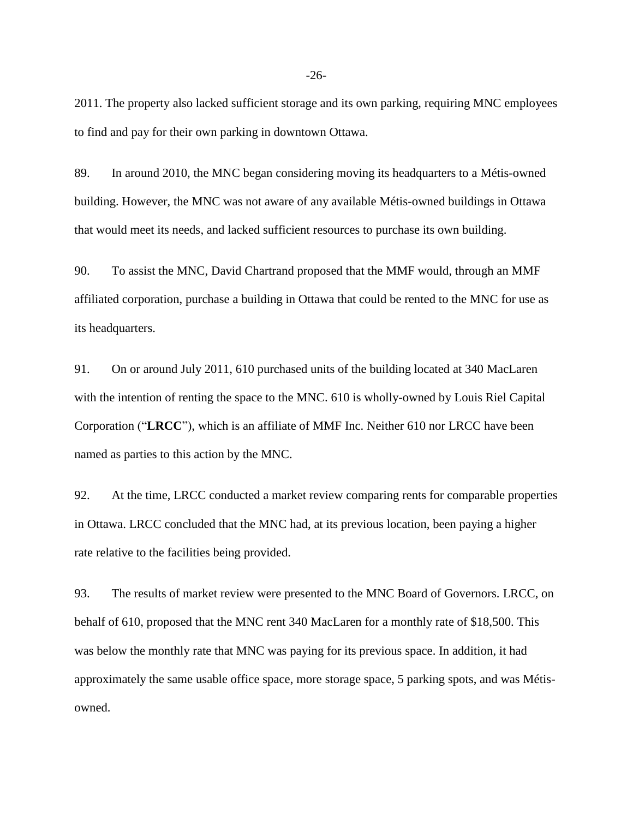2011. The property also lacked sufficient storage and its own parking, requiring MNC employees to find and pay for their own parking in downtown Ottawa.

89. In around 2010, the MNC began considering moving its headquarters to a Métis-owned building. However, the MNC was not aware of any available Métis-owned buildings in Ottawa that would meet its needs, and lacked sufficient resources to purchase its own building.

90. To assist the MNC, David Chartrand proposed that the MMF would, through an MMF affiliated corporation, purchase a building in Ottawa that could be rented to the MNC for use as its headquarters.

91. On or around July 2011, 610 purchased units of the building located at 340 MacLaren with the intention of renting the space to the MNC. 610 is wholly-owned by Louis Riel Capital Corporation ("**LRCC**"), which is an affiliate of MMF Inc. Neither 610 nor LRCC have been named as parties to this action by the MNC.

92. At the time, LRCC conducted a market review comparing rents for comparable properties in Ottawa. LRCC concluded that the MNC had, at its previous location, been paying a higher rate relative to the facilities being provided.

93. The results of market review were presented to the MNC Board of Governors. LRCC, on behalf of 610, proposed that the MNC rent 340 MacLaren for a monthly rate of \$18,500. This was below the monthly rate that MNC was paying for its previous space. In addition, it had approximately the same usable office space, more storage space, 5 parking spots, and was Métisowned.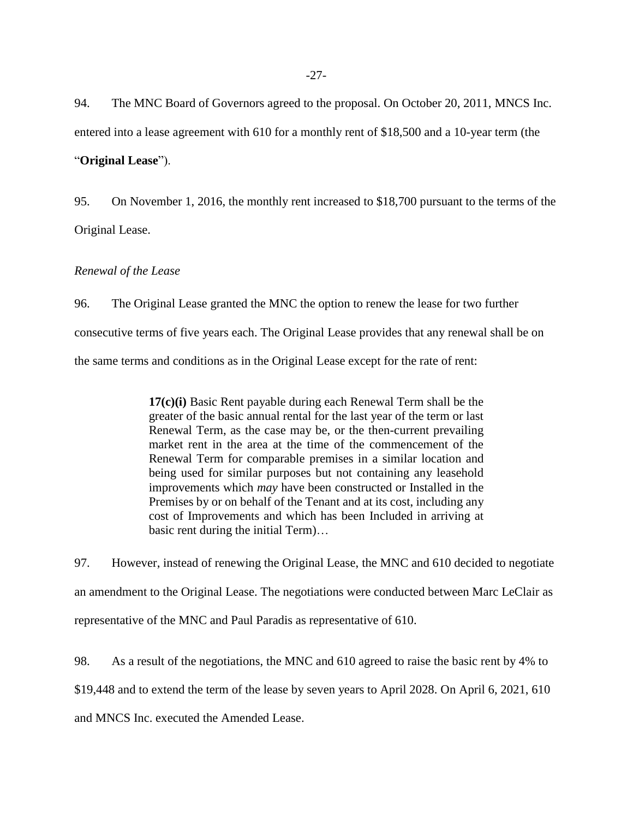94. The MNC Board of Governors agreed to the proposal. On October 20, 2011, MNCS Inc. entered into a lease agreement with 610 for a monthly rent of \$18,500 and a 10-year term (the

"**Original Lease**").

95. On November 1, 2016, the monthly rent increased to \$18,700 pursuant to the terms of the Original Lease.

# *Renewal of the Lease*

96. The Original Lease granted the MNC the option to renew the lease for two further consecutive terms of five years each. The Original Lease provides that any renewal shall be on the same terms and conditions as in the Original Lease except for the rate of rent:

> **17(c)(i)** Basic Rent payable during each Renewal Term shall be the greater of the basic annual rental for the last year of the term or last Renewal Term, as the case may be, or the then-current prevailing market rent in the area at the time of the commencement of the Renewal Term for comparable premises in a similar location and being used for similar purposes but not containing any leasehold improvements which *may* have been constructed or Installed in the Premises by or on behalf of the Tenant and at its cost, including any cost of Improvements and which has been Included in arriving at basic rent during the initial Term)…

97. However, instead of renewing the Original Lease, the MNC and 610 decided to negotiate an amendment to the Original Lease. The negotiations were conducted between Marc LeClair as representative of the MNC and Paul Paradis as representative of 610.

98. As a result of the negotiations, the MNC and 610 agreed to raise the basic rent by 4% to \$19,448 and to extend the term of the lease by seven years to April 2028. On April 6, 2021, 610 and MNCS Inc. executed the Amended Lease.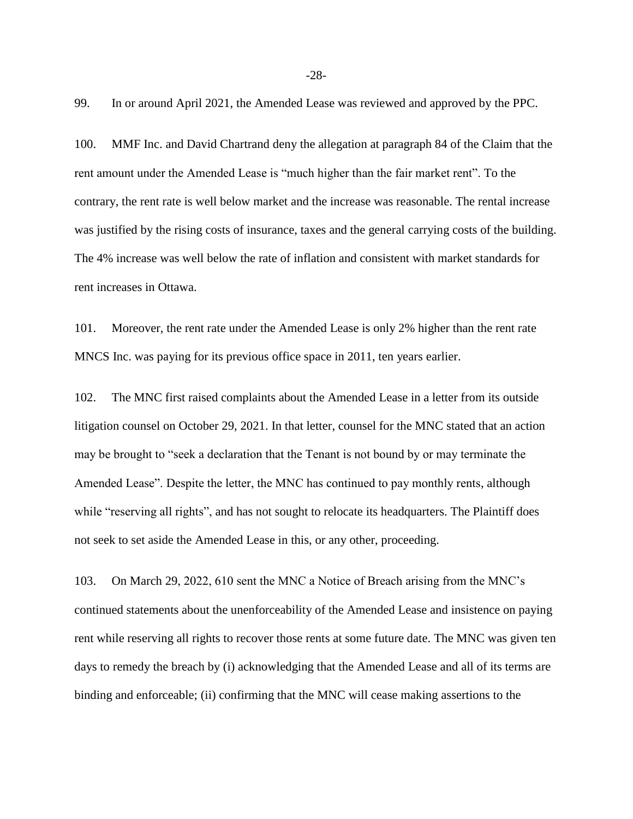99. In or around April 2021, the Amended Lease was reviewed and approved by the PPC.

100. MMF Inc. and David Chartrand deny the allegation at paragraph 84 of the Claim that the rent amount under the Amended Lease is "much higher than the fair market rent". To the contrary, the rent rate is well below market and the increase was reasonable. The rental increase was justified by the rising costs of insurance, taxes and the general carrying costs of the building. The 4% increase was well below the rate of inflation and consistent with market standards for rent increases in Ottawa.

101. Moreover, the rent rate under the Amended Lease is only 2% higher than the rent rate MNCS Inc. was paying for its previous office space in 2011, ten years earlier.

102. The MNC first raised complaints about the Amended Lease in a letter from its outside litigation counsel on October 29, 2021. In that letter, counsel for the MNC stated that an action may be brought to "seek a declaration that the Tenant is not bound by or may terminate the Amended Lease". Despite the letter, the MNC has continued to pay monthly rents, although while "reserving all rights", and has not sought to relocate its headquarters. The Plaintiff does not seek to set aside the Amended Lease in this, or any other, proceeding.

103. On March 29, 2022, 610 sent the MNC a Notice of Breach arising from the MNC's continued statements about the unenforceability of the Amended Lease and insistence on paying rent while reserving all rights to recover those rents at some future date. The MNC was given ten days to remedy the breach by (i) acknowledging that the Amended Lease and all of its terms are binding and enforceable; (ii) confirming that the MNC will cease making assertions to the

-28-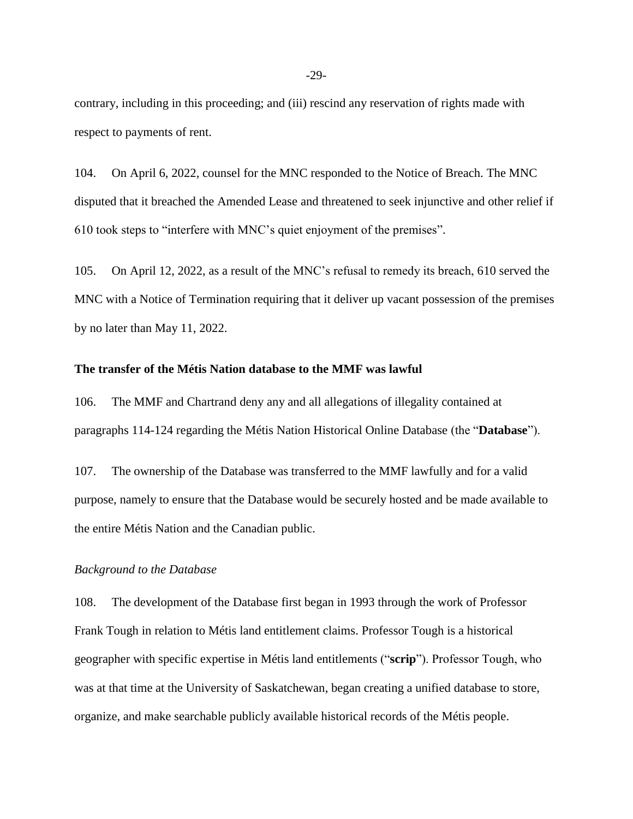contrary, including in this proceeding; and (iii) rescind any reservation of rights made with respect to payments of rent.

104. On April 6, 2022, counsel for the MNC responded to the Notice of Breach. The MNC disputed that it breached the Amended Lease and threatened to seek injunctive and other relief if 610 took steps to "interfere with MNC's quiet enjoyment of the premises".

105. On April 12, 2022, as a result of the MNC's refusal to remedy its breach, 610 served the MNC with a Notice of Termination requiring that it deliver up vacant possession of the premises by no later than May 11, 2022.

#### **The transfer of the Métis Nation database to the MMF was lawful**

106. The MMF and Chartrand deny any and all allegations of illegality contained at paragraphs 114-124 regarding the Métis Nation Historical Online Database (the "**Database**").

107. The ownership of the Database was transferred to the MMF lawfully and for a valid purpose, namely to ensure that the Database would be securely hosted and be made available to the entire Métis Nation and the Canadian public.

#### *Background to the Database*

108. The development of the Database first began in 1993 through the work of Professor Frank Tough in relation to Métis land entitlement claims. Professor Tough is a historical geographer with specific expertise in Métis land entitlements ("**scrip**"). Professor Tough, who was at that time at the University of Saskatchewan, began creating a unified database to store, organize, and make searchable publicly available historical records of the Métis people.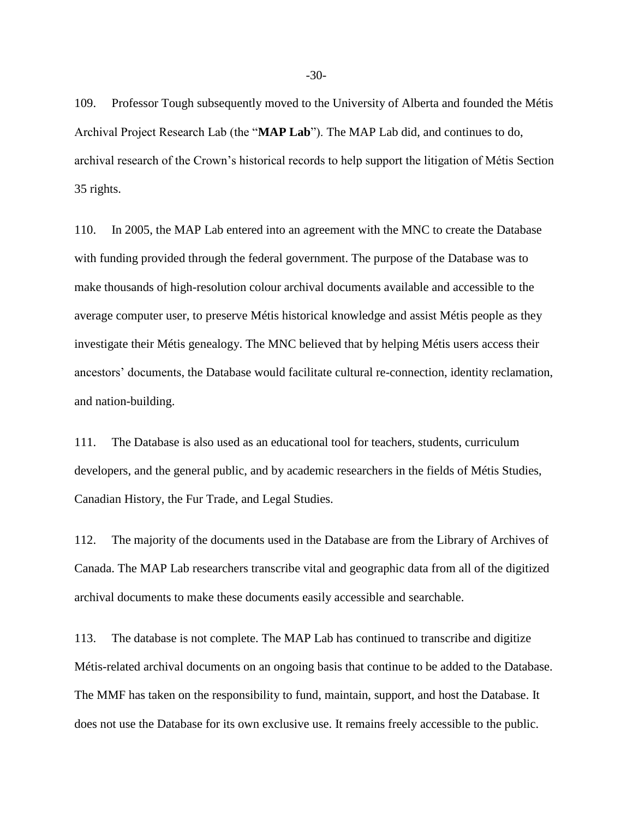109. Professor Tough subsequently moved to the University of Alberta and founded the Métis Archival Project Research Lab (the "**MAP Lab**"). The MAP Lab did, and continues to do, archival research of the Crown's historical records to help support the litigation of Métis Section 35 rights.

110. In 2005, the MAP Lab entered into an agreement with the MNC to create the Database with funding provided through the federal government. The purpose of the Database was to make thousands of high-resolution colour archival documents available and accessible to the average computer user, to preserve Métis historical knowledge and assist Métis people as they investigate their Métis genealogy. The MNC believed that by helping Métis users access their ancestors' documents, the Database would facilitate cultural re-connection, identity reclamation, and nation-building.

111. The Database is also used as an educational tool for teachers, students, curriculum developers, and the general public, and by academic researchers in the fields of Métis Studies, Canadian History, the Fur Trade, and Legal Studies.

112. The majority of the documents used in the Database are from the Library of Archives of Canada. The MAP Lab researchers transcribe vital and geographic data from all of the digitized archival documents to make these documents easily accessible and searchable.

113. The database is not complete. The MAP Lab has continued to transcribe and digitize Métis-related archival documents on an ongoing basis that continue to be added to the Database. The MMF has taken on the responsibility to fund, maintain, support, and host the Database. It does not use the Database for its own exclusive use. It remains freely accessible to the public.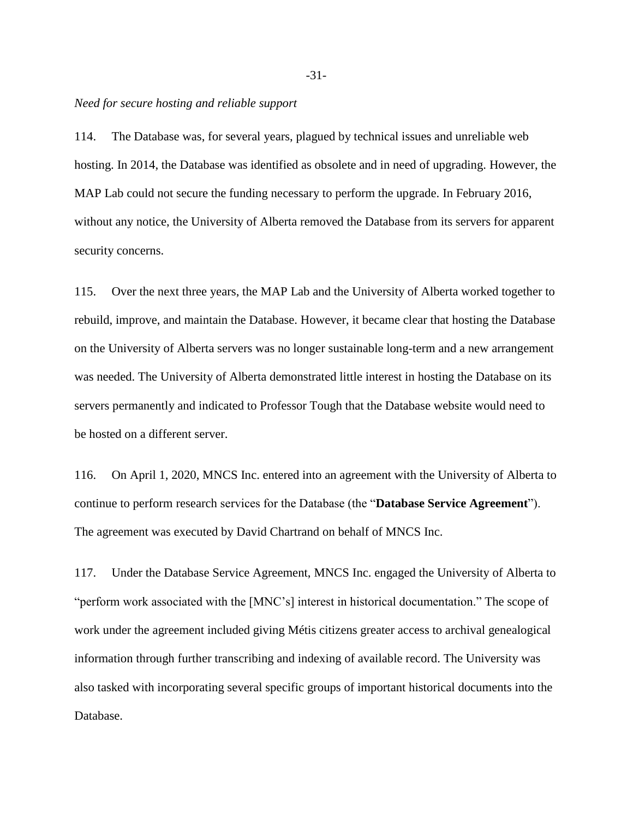#### *Need for secure hosting and reliable support*

114. The Database was, for several years, plagued by technical issues and unreliable web hosting. In 2014, the Database was identified as obsolete and in need of upgrading. However, the MAP Lab could not secure the funding necessary to perform the upgrade. In February 2016, without any notice, the University of Alberta removed the Database from its servers for apparent security concerns.

115. Over the next three years, the MAP Lab and the University of Alberta worked together to rebuild, improve, and maintain the Database. However, it became clear that hosting the Database on the University of Alberta servers was no longer sustainable long-term and a new arrangement was needed. The University of Alberta demonstrated little interest in hosting the Database on its servers permanently and indicated to Professor Tough that the Database website would need to be hosted on a different server.

116. On April 1, 2020, MNCS Inc. entered into an agreement with the University of Alberta to continue to perform research services for the Database (the "**Database Service Agreement**"). The agreement was executed by David Chartrand on behalf of MNCS Inc.

117. Under the Database Service Agreement, MNCS Inc. engaged the University of Alberta to "perform work associated with the [MNC's] interest in historical documentation." The scope of work under the agreement included giving Métis citizens greater access to archival genealogical information through further transcribing and indexing of available record. The University was also tasked with incorporating several specific groups of important historical documents into the Database.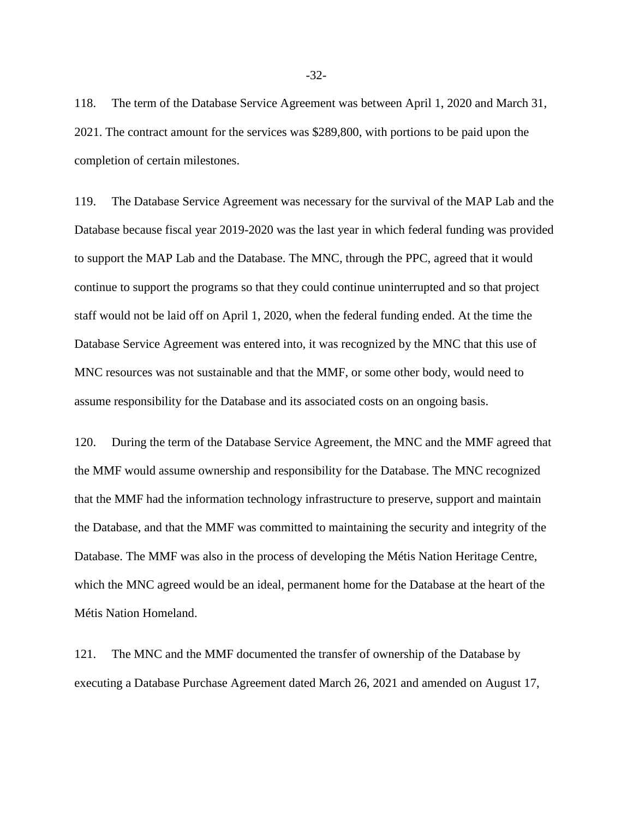118. The term of the Database Service Agreement was between April 1, 2020 and March 31, 2021. The contract amount for the services was \$289,800, with portions to be paid upon the completion of certain milestones.

119. The Database Service Agreement was necessary for the survival of the MAP Lab and the Database because fiscal year 2019-2020 was the last year in which federal funding was provided to support the MAP Lab and the Database. The MNC, through the PPC, agreed that it would continue to support the programs so that they could continue uninterrupted and so that project staff would not be laid off on April 1, 2020, when the federal funding ended. At the time the Database Service Agreement was entered into, it was recognized by the MNC that this use of MNC resources was not sustainable and that the MMF, or some other body, would need to assume responsibility for the Database and its associated costs on an ongoing basis.

120. During the term of the Database Service Agreement, the MNC and the MMF agreed that the MMF would assume ownership and responsibility for the Database. The MNC recognized that the MMF had the information technology infrastructure to preserve, support and maintain the Database, and that the MMF was committed to maintaining the security and integrity of the Database. The MMF was also in the process of developing the Métis Nation Heritage Centre, which the MNC agreed would be an ideal, permanent home for the Database at the heart of the Métis Nation Homeland.

121. The MNC and the MMF documented the transfer of ownership of the Database by executing a Database Purchase Agreement dated March 26, 2021 and amended on August 17,

-32-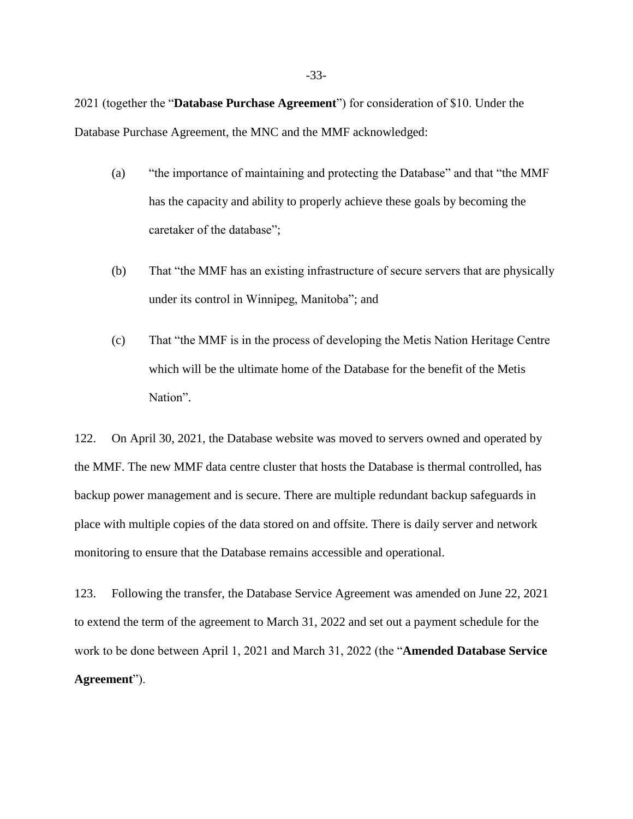2021 (together the "**Database Purchase Agreement**") for consideration of \$10. Under the Database Purchase Agreement, the MNC and the MMF acknowledged:

- (a) "the importance of maintaining and protecting the Database" and that "the MMF has the capacity and ability to properly achieve these goals by becoming the caretaker of the database";
- (b) That "the MMF has an existing infrastructure of secure servers that are physically under its control in Winnipeg, Manitoba"; and
- (c) That "the MMF is in the process of developing the Metis Nation Heritage Centre which will be the ultimate home of the Database for the benefit of the Metis Nation".

122. On April 30, 2021, the Database website was moved to servers owned and operated by the MMF. The new MMF data centre cluster that hosts the Database is thermal controlled, has backup power management and is secure. There are multiple redundant backup safeguards in place with multiple copies of the data stored on and offsite. There is daily server and network monitoring to ensure that the Database remains accessible and operational.

123. Following the transfer, the Database Service Agreement was amended on June 22, 2021 to extend the term of the agreement to March 31, 2022 and set out a payment schedule for the work to be done between April 1, 2021 and March 31, 2022 (the "**Amended Database Service Agreement**").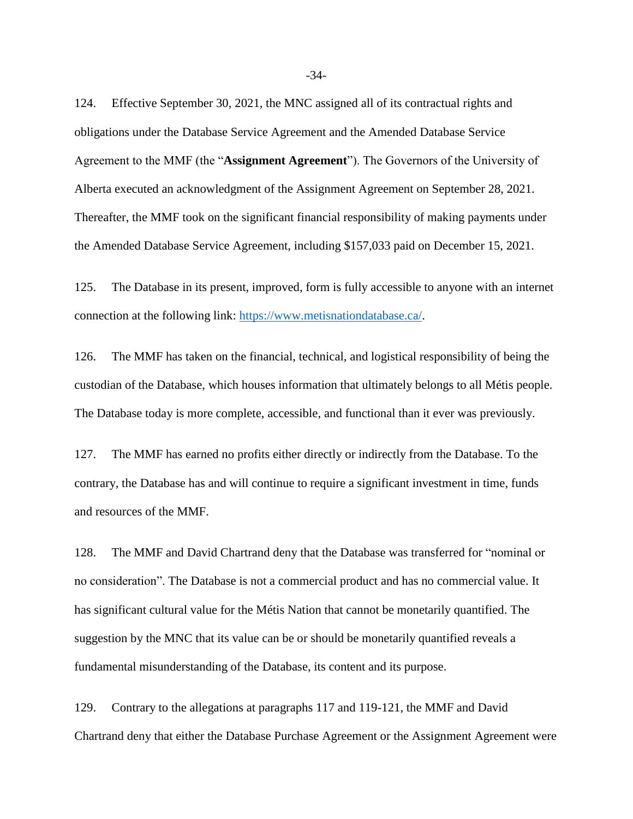124. Effective September 30, 2021, the MNC assigned all of its contractual rights and obligations under the Database Service Agreement and the Amended Database Service Agreement to the MMF (the "**Assignment Agreement**"). The Governors of the University of Alberta executed an acknowledgment of the Assignment Agreement on September 28, 2021. Thereafter, the MMF took on the significant financial responsibility of making payments under the Amended Database Service Agreement, including \$157,033 paid on December 15, 2021.

125. The Database in its present, improved, form is fully accessible to anyone with an internet connection at the following link: [https://www.metisnationdatabase.ca/.](https://www.metisnationdatabase.ca/)

126. The MMF has taken on the financial, technical, and logistical responsibility of being the custodian of the Database, which houses information that ultimately belongs to all Métis people. The Database today is more complete, accessible, and functional than it ever was previously.

127. The MMF has earned no profits either directly or indirectly from the Database. To the contrary, the Database has and will continue to require a significant investment in time, funds and resources of the MMF.

128. The MMF and David Chartrand deny that the Database was transferred for "nominal or no consideration". The Database is not a commercial product and has no commercial value. It has significant cultural value for the Métis Nation that cannot be monetarily quantified. The suggestion by the MNC that its value can be or should be monetarily quantified reveals a fundamental misunderstanding of the Database, its content and its purpose.

129. Contrary to the allegations at paragraphs 117 and 119-121, the MMF and David Chartrand deny that either the Database Purchase Agreement or the Assignment Agreement were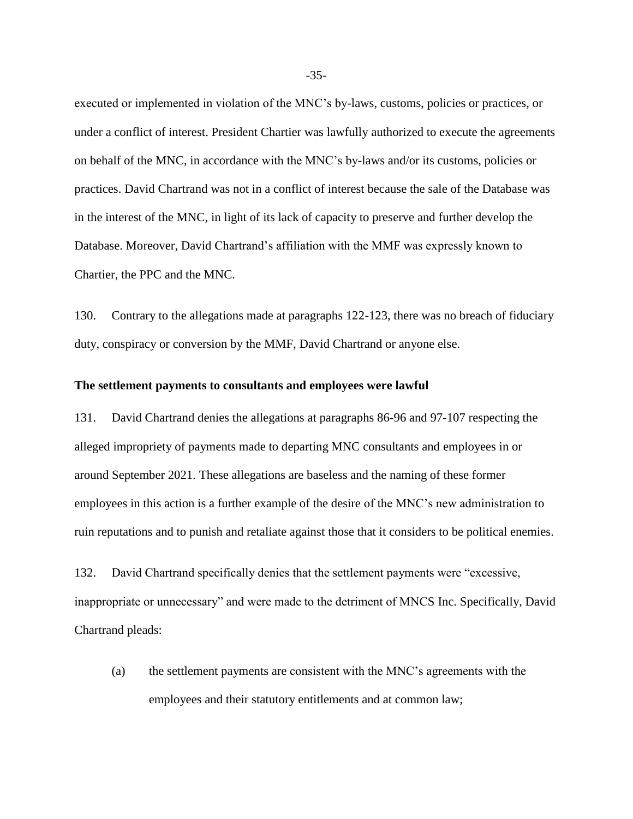executed or implemented in violation of the MNC's by-laws, customs, policies or practices, or under a conflict of interest. President Chartier was lawfully authorized to execute the agreements on behalf of the MNC, in accordance with the MNC's by-laws and/or its customs, policies or practices. David Chartrand was not in a conflict of interest because the sale of the Database was in the interest of the MNC, in light of its lack of capacity to preserve and further develop the Database. Moreover, David Chartrand's affiliation with the MMF was expressly known to Chartier, the PPC and the MNC.

130. Contrary to the allegations made at paragraphs 122-123, there was no breach of fiduciary duty, conspiracy or conversion by the MMF, David Chartrand or anyone else.

#### **The settlement payments to consultants and employees were lawful**

131. David Chartrand denies the allegations at paragraphs 86-96 and 97-107 respecting the alleged impropriety of payments made to departing MNC consultants and employees in or around September 2021. These allegations are baseless and the naming of these former employees in this action is a further example of the desire of the MNC's new administration to ruin reputations and to punish and retaliate against those that it considers to be political enemies.

132. David Chartrand specifically denies that the settlement payments were "excessive, inappropriate or unnecessary" and were made to the detriment of MNCS Inc. Specifically, David Chartrand pleads:

(a) the settlement payments are consistent with the MNC's agreements with the employees and their statutory entitlements and at common law;

-35-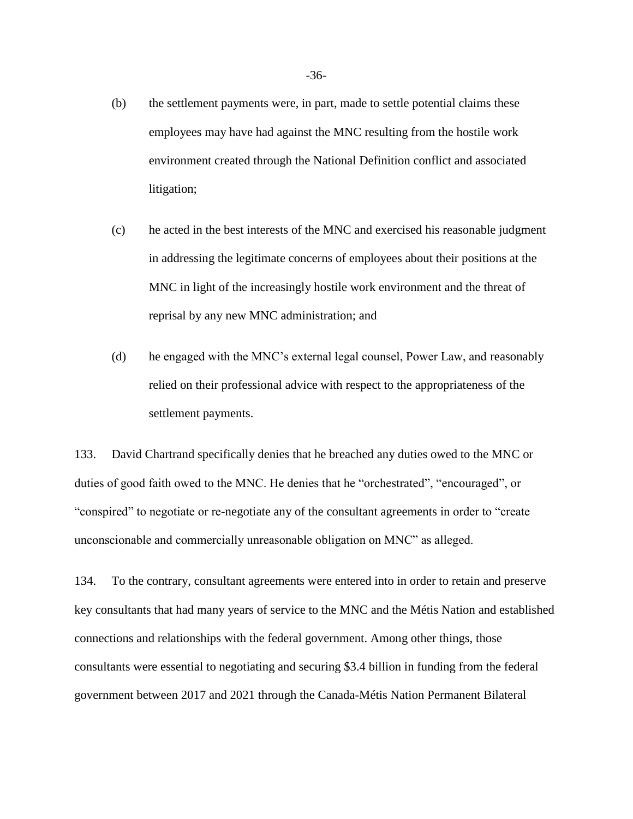- (b) the settlement payments were, in part, made to settle potential claims these employees may have had against the MNC resulting from the hostile work environment created through the National Definition conflict and associated litigation;
- (c) he acted in the best interests of the MNC and exercised his reasonable judgment in addressing the legitimate concerns of employees about their positions at the MNC in light of the increasingly hostile work environment and the threat of reprisal by any new MNC administration; and
- (d) he engaged with the MNC's external legal counsel, Power Law, and reasonably relied on their professional advice with respect to the appropriateness of the settlement payments.

133. David Chartrand specifically denies that he breached any duties owed to the MNC or duties of good faith owed to the MNC. He denies that he "orchestrated", "encouraged", or "conspired" to negotiate or re-negotiate any of the consultant agreements in order to "create unconscionable and commercially unreasonable obligation on MNC" as alleged.

134. To the contrary, consultant agreements were entered into in order to retain and preserve key consultants that had many years of service to the MNC and the Métis Nation and established connections and relationships with the federal government. Among other things, those consultants were essential to negotiating and securing \$3.4 billion in funding from the federal government between 2017 and 2021 through the Canada-Métis Nation Permanent Bilateral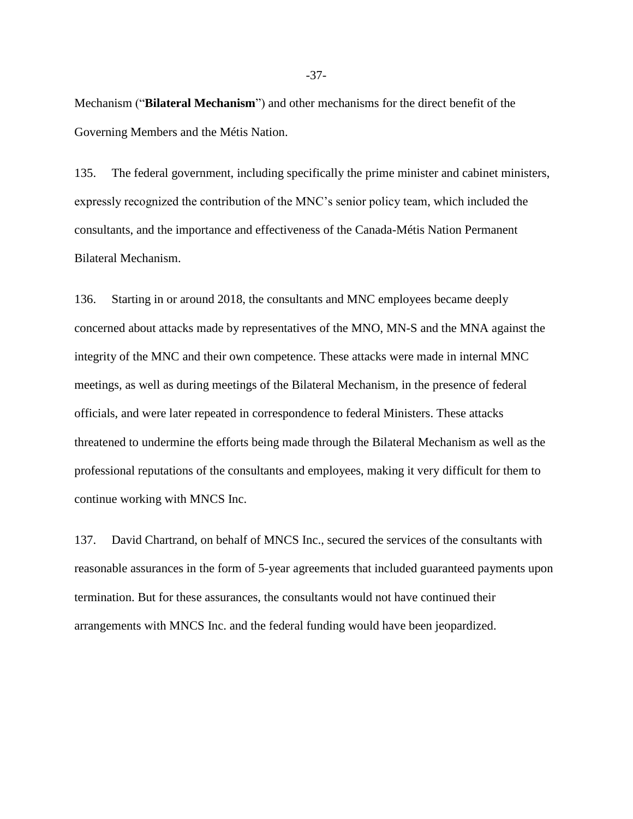Mechanism ("**Bilateral Mechanism**") and other mechanisms for the direct benefit of the Governing Members and the Métis Nation.

135. The federal government, including specifically the prime minister and cabinet ministers, expressly recognized the contribution of the MNC's senior policy team, which included the consultants, and the importance and effectiveness of the Canada-Métis Nation Permanent Bilateral Mechanism.

136. Starting in or around 2018, the consultants and MNC employees became deeply concerned about attacks made by representatives of the MNO, MN-S and the MNA against the integrity of the MNC and their own competence. These attacks were made in internal MNC meetings, as well as during meetings of the Bilateral Mechanism, in the presence of federal officials, and were later repeated in correspondence to federal Ministers. These attacks threatened to undermine the efforts being made through the Bilateral Mechanism as well as the professional reputations of the consultants and employees, making it very difficult for them to continue working with MNCS Inc.

137. David Chartrand, on behalf of MNCS Inc., secured the services of the consultants with reasonable assurances in the form of 5-year agreements that included guaranteed payments upon termination. But for these assurances, the consultants would not have continued their arrangements with MNCS Inc. and the federal funding would have been jeopardized.

-37-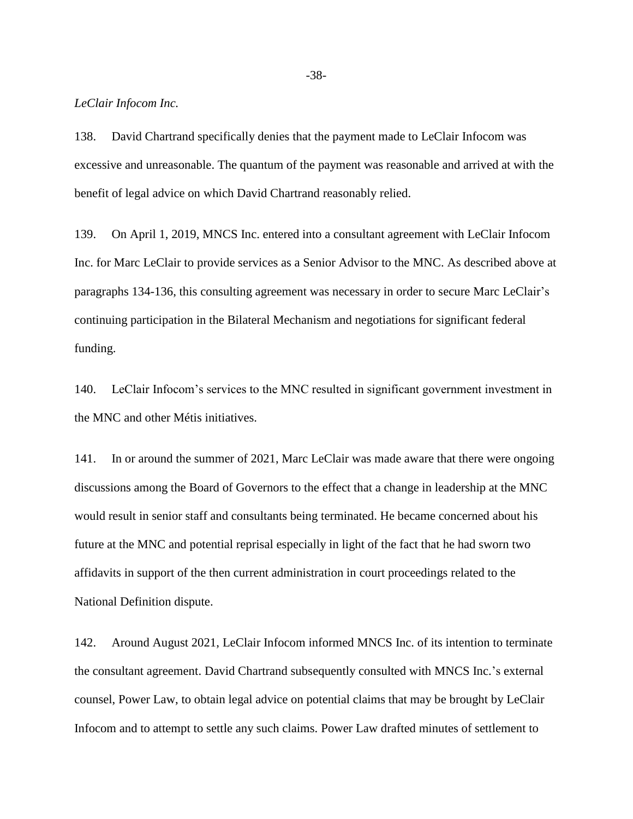*LeClair Infocom Inc.*

138. David Chartrand specifically denies that the payment made to LeClair Infocom was excessive and unreasonable. The quantum of the payment was reasonable and arrived at with the benefit of legal advice on which David Chartrand reasonably relied.

139. On April 1, 2019, MNCS Inc. entered into a consultant agreement with LeClair Infocom Inc. for Marc LeClair to provide services as a Senior Advisor to the MNC. As described above at paragraphs 134-136, this consulting agreement was necessary in order to secure Marc LeClair's continuing participation in the Bilateral Mechanism and negotiations for significant federal funding.

140. LeClair Infocom's services to the MNC resulted in significant government investment in the MNC and other Métis initiatives.

141. In or around the summer of 2021, Marc LeClair was made aware that there were ongoing discussions among the Board of Governors to the effect that a change in leadership at the MNC would result in senior staff and consultants being terminated. He became concerned about his future at the MNC and potential reprisal especially in light of the fact that he had sworn two affidavits in support of the then current administration in court proceedings related to the National Definition dispute.

142. Around August 2021, LeClair Infocom informed MNCS Inc. of its intention to terminate the consultant agreement. David Chartrand subsequently consulted with MNCS Inc.'s external counsel, Power Law, to obtain legal advice on potential claims that may be brought by LeClair Infocom and to attempt to settle any such claims. Power Law drafted minutes of settlement to

-38-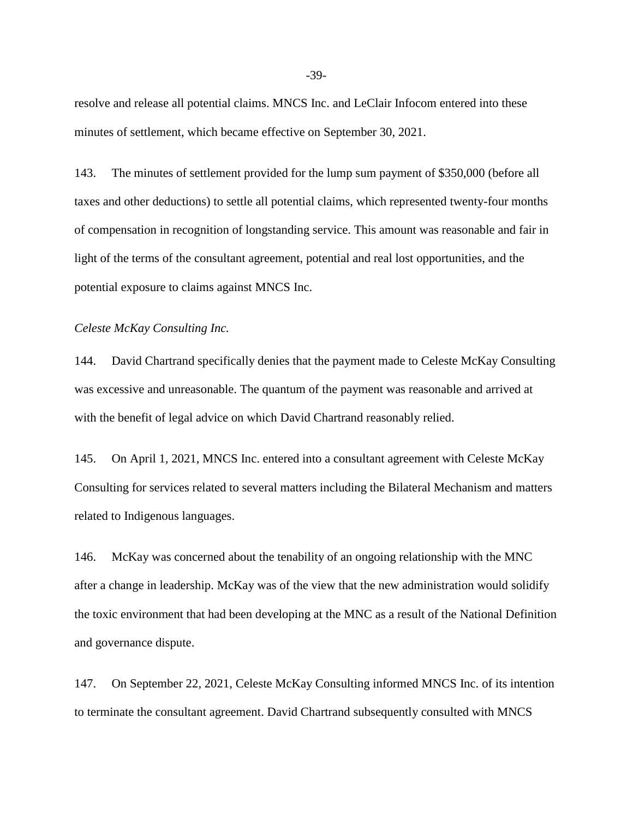resolve and release all potential claims. MNCS Inc. and LeClair Infocom entered into these minutes of settlement, which became effective on September 30, 2021.

143. The minutes of settlement provided for the lump sum payment of \$350,000 (before all taxes and other deductions) to settle all potential claims, which represented twenty-four months of compensation in recognition of longstanding service. This amount was reasonable and fair in light of the terms of the consultant agreement, potential and real lost opportunities, and the potential exposure to claims against MNCS Inc.

#### *Celeste McKay Consulting Inc.*

144. David Chartrand specifically denies that the payment made to Celeste McKay Consulting was excessive and unreasonable. The quantum of the payment was reasonable and arrived at with the benefit of legal advice on which David Chartrand reasonably relied.

145. On April 1, 2021, MNCS Inc. entered into a consultant agreement with Celeste McKay Consulting for services related to several matters including the Bilateral Mechanism and matters related to Indigenous languages.

146. McKay was concerned about the tenability of an ongoing relationship with the MNC after a change in leadership. McKay was of the view that the new administration would solidify the toxic environment that had been developing at the MNC as a result of the National Definition and governance dispute.

147. On September 22, 2021, Celeste McKay Consulting informed MNCS Inc. of its intention to terminate the consultant agreement. David Chartrand subsequently consulted with MNCS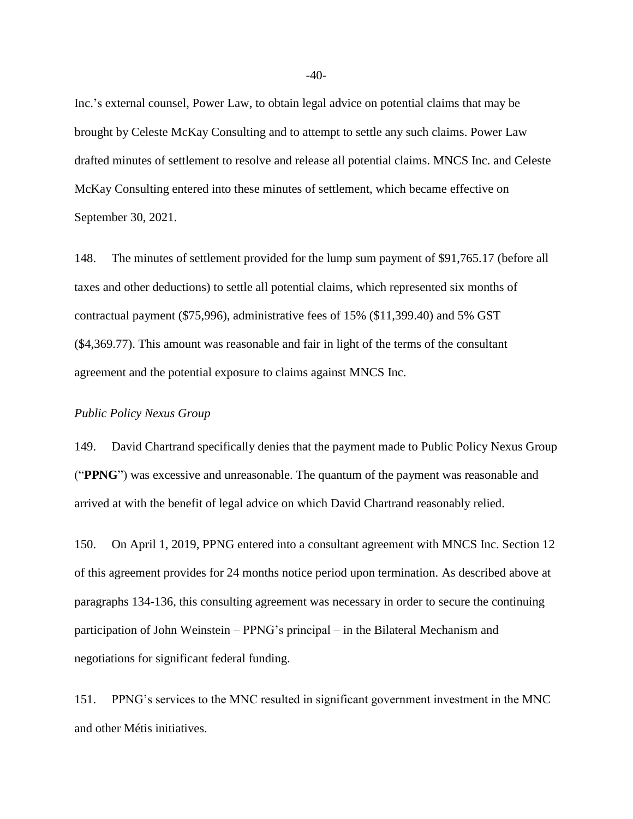Inc.'s external counsel, Power Law, to obtain legal advice on potential claims that may be brought by Celeste McKay Consulting and to attempt to settle any such claims. Power Law drafted minutes of settlement to resolve and release all potential claims. MNCS Inc. and Celeste McKay Consulting entered into these minutes of settlement, which became effective on September 30, 2021.

148. The minutes of settlement provided for the lump sum payment of \$91,765.17 (before all taxes and other deductions) to settle all potential claims, which represented six months of contractual payment (\$75,996), administrative fees of 15% (\$11,399.40) and 5% GST (\$4,369.77). This amount was reasonable and fair in light of the terms of the consultant agreement and the potential exposure to claims against MNCS Inc.

#### *Public Policy Nexus Group*

149. David Chartrand specifically denies that the payment made to Public Policy Nexus Group ("**PPNG**") was excessive and unreasonable. The quantum of the payment was reasonable and arrived at with the benefit of legal advice on which David Chartrand reasonably relied.

150. On April 1, 2019, PPNG entered into a consultant agreement with MNCS Inc. Section 12 of this agreement provides for 24 months notice period upon termination. As described above at paragraphs 134-136, this consulting agreement was necessary in order to secure the continuing participation of John Weinstein – PPNG's principal – in the Bilateral Mechanism and negotiations for significant federal funding.

151. PPNG's services to the MNC resulted in significant government investment in the MNC and other Métis initiatives.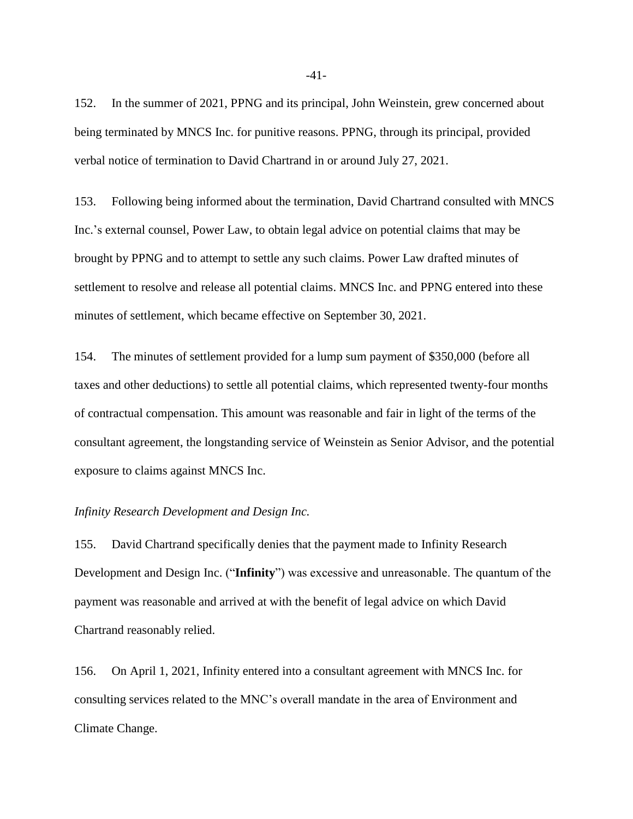152. In the summer of 2021, PPNG and its principal, John Weinstein, grew concerned about being terminated by MNCS Inc. for punitive reasons. PPNG, through its principal, provided verbal notice of termination to David Chartrand in or around July 27, 2021.

153. Following being informed about the termination, David Chartrand consulted with MNCS Inc.'s external counsel, Power Law, to obtain legal advice on potential claims that may be brought by PPNG and to attempt to settle any such claims. Power Law drafted minutes of settlement to resolve and release all potential claims. MNCS Inc. and PPNG entered into these minutes of settlement, which became effective on September 30, 2021.

154. The minutes of settlement provided for a lump sum payment of \$350,000 (before all taxes and other deductions) to settle all potential claims, which represented twenty-four months of contractual compensation. This amount was reasonable and fair in light of the terms of the consultant agreement, the longstanding service of Weinstein as Senior Advisor, and the potential exposure to claims against MNCS Inc.

#### *Infinity Research Development and Design Inc.*

155. David Chartrand specifically denies that the payment made to Infinity Research Development and Design Inc. ("**Infinity**") was excessive and unreasonable. The quantum of the payment was reasonable and arrived at with the benefit of legal advice on which David Chartrand reasonably relied.

156. On April 1, 2021, Infinity entered into a consultant agreement with MNCS Inc. for consulting services related to the MNC's overall mandate in the area of Environment and Climate Change.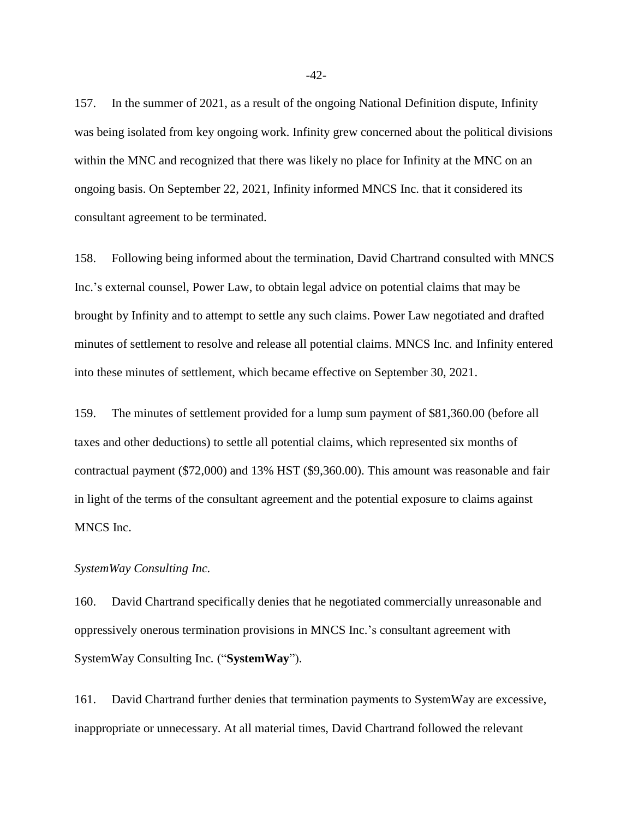157. In the summer of 2021, as a result of the ongoing National Definition dispute, Infinity was being isolated from key ongoing work. Infinity grew concerned about the political divisions within the MNC and recognized that there was likely no place for Infinity at the MNC on an ongoing basis. On September 22, 2021, Infinity informed MNCS Inc. that it considered its consultant agreement to be terminated.

158. Following being informed about the termination, David Chartrand consulted with MNCS Inc.'s external counsel, Power Law, to obtain legal advice on potential claims that may be brought by Infinity and to attempt to settle any such claims. Power Law negotiated and drafted minutes of settlement to resolve and release all potential claims. MNCS Inc. and Infinity entered into these minutes of settlement, which became effective on September 30, 2021.

159. The minutes of settlement provided for a lump sum payment of \$81,360.00 (before all taxes and other deductions) to settle all potential claims, which represented six months of contractual payment (\$72,000) and 13% HST (\$9,360.00). This amount was reasonable and fair in light of the terms of the consultant agreement and the potential exposure to claims against MNCS Inc.

#### *SystemWay Consulting Inc.*

160. David Chartrand specifically denies that he negotiated commercially unreasonable and oppressively onerous termination provisions in MNCS Inc.'s consultant agreement with SystemWay Consulting Inc*.* ("**SystemWay**").

161. David Chartrand further denies that termination payments to SystemWay are excessive, inappropriate or unnecessary. At all material times, David Chartrand followed the relevant

-42-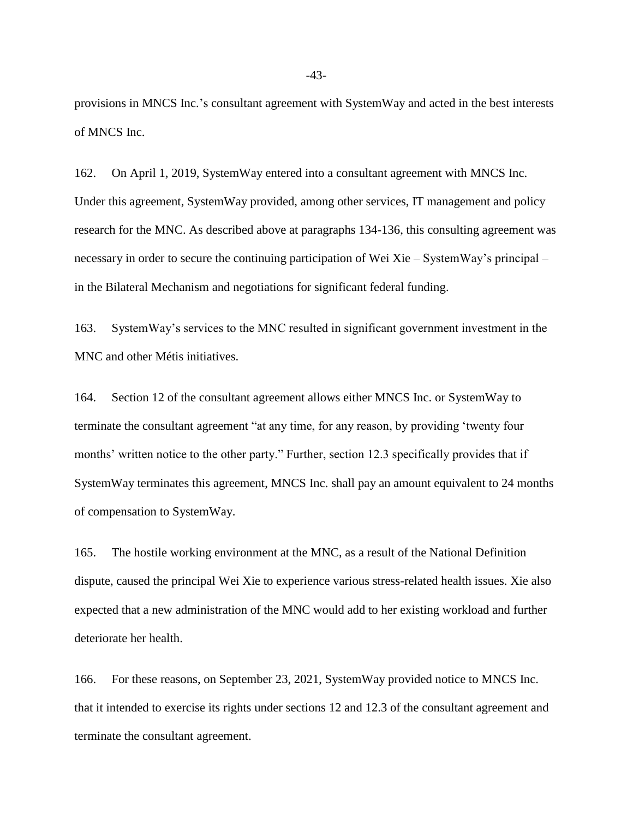provisions in MNCS Inc.'s consultant agreement with SystemWay and acted in the best interests of MNCS Inc.

162. On April 1, 2019, SystemWay entered into a consultant agreement with MNCS Inc. Under this agreement, SystemWay provided, among other services, IT management and policy research for the MNC. As described above at paragraphs 134-136, this consulting agreement was necessary in order to secure the continuing participation of Wei Xie – SystemWay's principal – in the Bilateral Mechanism and negotiations for significant federal funding.

163. SystemWay's services to the MNC resulted in significant government investment in the MNC and other Métis initiatives.

164. Section 12 of the consultant agreement allows either MNCS Inc. or SystemWay to terminate the consultant agreement "at any time, for any reason, by providing 'twenty four months' written notice to the other party." Further, section 12.3 specifically provides that if SystemWay terminates this agreement, MNCS Inc. shall pay an amount equivalent to 24 months of compensation to SystemWay.

165. The hostile working environment at the MNC, as a result of the National Definition dispute, caused the principal Wei Xie to experience various stress-related health issues. Xie also expected that a new administration of the MNC would add to her existing workload and further deteriorate her health.

166. For these reasons, on September 23, 2021, SystemWay provided notice to MNCS Inc. that it intended to exercise its rights under sections 12 and 12.3 of the consultant agreement and terminate the consultant agreement.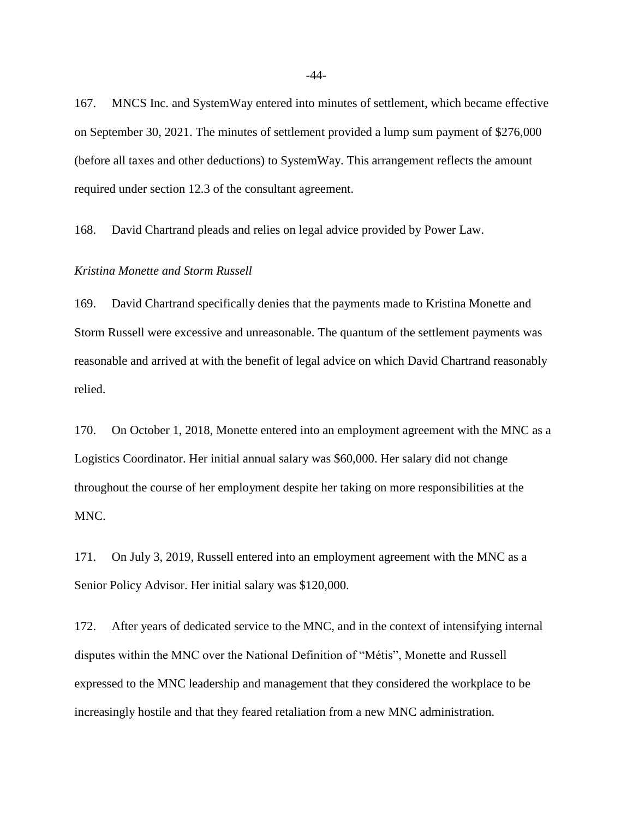167. MNCS Inc. and SystemWay entered into minutes of settlement, which became effective on September 30, 2021. The minutes of settlement provided a lump sum payment of \$276,000 (before all taxes and other deductions) to SystemWay. This arrangement reflects the amount required under section 12.3 of the consultant agreement.

168. David Chartrand pleads and relies on legal advice provided by Power Law.

#### *Kristina Monette and Storm Russell*

169. David Chartrand specifically denies that the payments made to Kristina Monette and Storm Russell were excessive and unreasonable. The quantum of the settlement payments was reasonable and arrived at with the benefit of legal advice on which David Chartrand reasonably relied.

170. On October 1, 2018, Monette entered into an employment agreement with the MNC as a Logistics Coordinator. Her initial annual salary was \$60,000. Her salary did not change throughout the course of her employment despite her taking on more responsibilities at the MNC.

171. On July 3, 2019, Russell entered into an employment agreement with the MNC as a Senior Policy Advisor. Her initial salary was \$120,000.

172. After years of dedicated service to the MNC, and in the context of intensifying internal disputes within the MNC over the National Definition of "Métis", Monette and Russell expressed to the MNC leadership and management that they considered the workplace to be increasingly hostile and that they feared retaliation from a new MNC administration.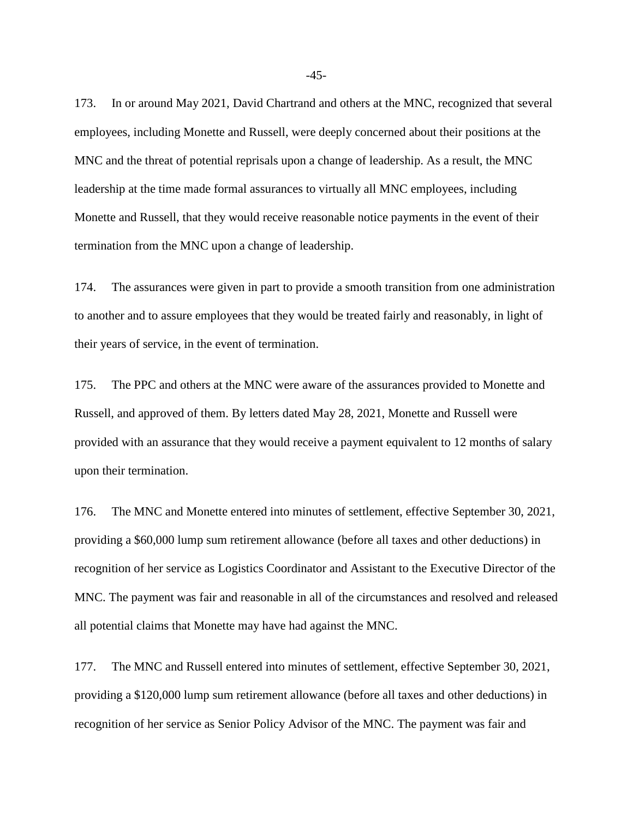173. In or around May 2021, David Chartrand and others at the MNC, recognized that several employees, including Monette and Russell, were deeply concerned about their positions at the MNC and the threat of potential reprisals upon a change of leadership. As a result, the MNC leadership at the time made formal assurances to virtually all MNC employees, including Monette and Russell, that they would receive reasonable notice payments in the event of their termination from the MNC upon a change of leadership.

174. The assurances were given in part to provide a smooth transition from one administration to another and to assure employees that they would be treated fairly and reasonably, in light of their years of service, in the event of termination.

175. The PPC and others at the MNC were aware of the assurances provided to Monette and Russell, and approved of them. By letters dated May 28, 2021, Monette and Russell were provided with an assurance that they would receive a payment equivalent to 12 months of salary upon their termination.

176. The MNC and Monette entered into minutes of settlement, effective September 30, 2021, providing a \$60,000 lump sum retirement allowance (before all taxes and other deductions) in recognition of her service as Logistics Coordinator and Assistant to the Executive Director of the MNC. The payment was fair and reasonable in all of the circumstances and resolved and released all potential claims that Monette may have had against the MNC.

177. The MNC and Russell entered into minutes of settlement, effective September 30, 2021, providing a \$120,000 lump sum retirement allowance (before all taxes and other deductions) in recognition of her service as Senior Policy Advisor of the MNC. The payment was fair and

-45-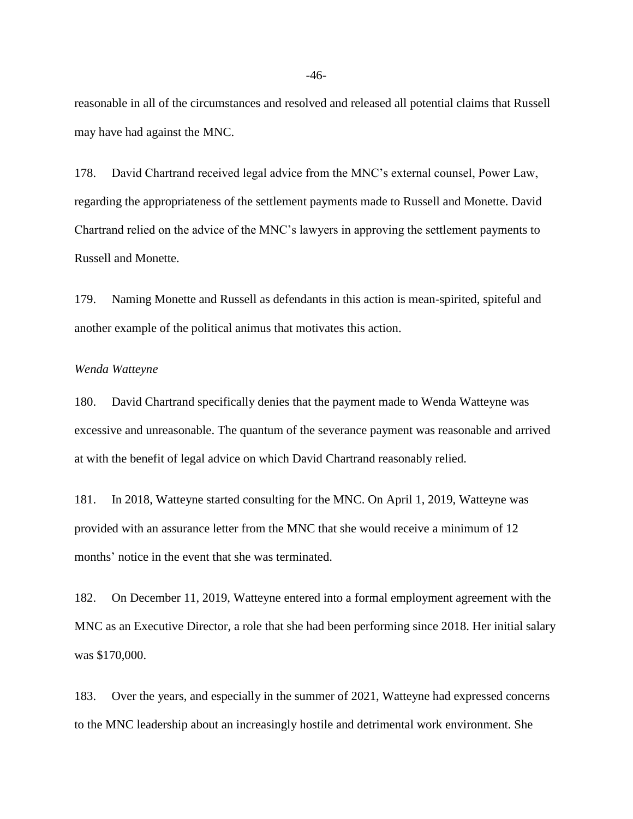reasonable in all of the circumstances and resolved and released all potential claims that Russell may have had against the MNC.

178. David Chartrand received legal advice from the MNC's external counsel, Power Law, regarding the appropriateness of the settlement payments made to Russell and Monette. David Chartrand relied on the advice of the MNC's lawyers in approving the settlement payments to Russell and Monette.

179. Naming Monette and Russell as defendants in this action is mean-spirited, spiteful and another example of the political animus that motivates this action.

#### *Wenda Watteyne*

180. David Chartrand specifically denies that the payment made to Wenda Watteyne was excessive and unreasonable. The quantum of the severance payment was reasonable and arrived at with the benefit of legal advice on which David Chartrand reasonably relied.

181. In 2018, Watteyne started consulting for the MNC. On April 1, 2019, Watteyne was provided with an assurance letter from the MNC that she would receive a minimum of 12 months' notice in the event that she was terminated.

182. On December 11, 2019, Watteyne entered into a formal employment agreement with the MNC as an Executive Director, a role that she had been performing since 2018. Her initial salary was \$170,000.

183. Over the years, and especially in the summer of 2021, Watteyne had expressed concerns to the MNC leadership about an increasingly hostile and detrimental work environment. She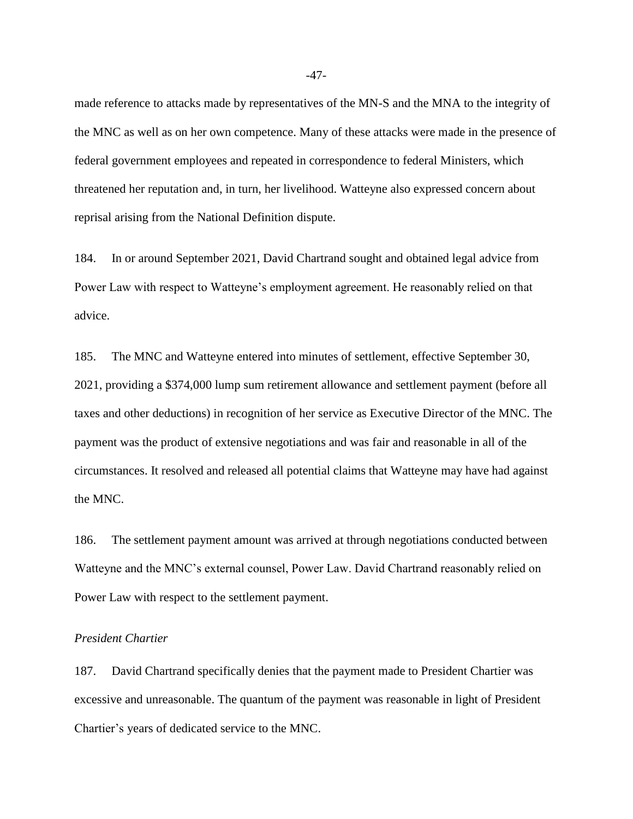made reference to attacks made by representatives of the MN-S and the MNA to the integrity of the MNC as well as on her own competence. Many of these attacks were made in the presence of federal government employees and repeated in correspondence to federal Ministers, which threatened her reputation and, in turn, her livelihood. Watteyne also expressed concern about reprisal arising from the National Definition dispute.

184. In or around September 2021, David Chartrand sought and obtained legal advice from Power Law with respect to Watteyne's employment agreement. He reasonably relied on that advice.

185. The MNC and Watteyne entered into minutes of settlement, effective September 30, 2021, providing a \$374,000 lump sum retirement allowance and settlement payment (before all taxes and other deductions) in recognition of her service as Executive Director of the MNC. The payment was the product of extensive negotiations and was fair and reasonable in all of the circumstances. It resolved and released all potential claims that Watteyne may have had against the MNC.

186. The settlement payment amount was arrived at through negotiations conducted between Watteyne and the MNC's external counsel, Power Law. David Chartrand reasonably relied on Power Law with respect to the settlement payment.

# *President Chartier*

187. David Chartrand specifically denies that the payment made to President Chartier was excessive and unreasonable. The quantum of the payment was reasonable in light of President Chartier's years of dedicated service to the MNC.

-47-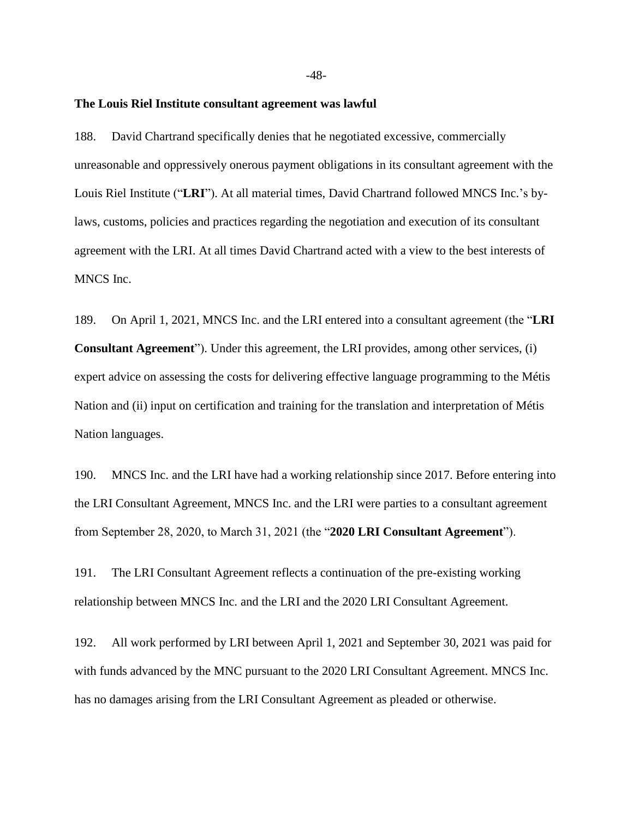#### **The Louis Riel Institute consultant agreement was lawful**

188. David Chartrand specifically denies that he negotiated excessive, commercially unreasonable and oppressively onerous payment obligations in its consultant agreement with the Louis Riel Institute ("**LRI**"). At all material times, David Chartrand followed MNCS Inc.'s bylaws, customs, policies and practices regarding the negotiation and execution of its consultant agreement with the LRI. At all times David Chartrand acted with a view to the best interests of MNCS Inc.

189. On April 1, 2021, MNCS Inc. and the LRI entered into a consultant agreement (the "**LRI Consultant Agreement**"). Under this agreement, the LRI provides, among other services, (i) expert advice on assessing the costs for delivering effective language programming to the Métis Nation and (ii) input on certification and training for the translation and interpretation of Métis Nation languages.

190. MNCS Inc. and the LRI have had a working relationship since 2017. Before entering into the LRI Consultant Agreement, MNCS Inc. and the LRI were parties to a consultant agreement from September 28, 2020, to March 31, 2021 (the "**2020 LRI Consultant Agreement**").

191. The LRI Consultant Agreement reflects a continuation of the pre-existing working relationship between MNCS Inc. and the LRI and the 2020 LRI Consultant Agreement.

192. All work performed by LRI between April 1, 2021 and September 30, 2021 was paid for with funds advanced by the MNC pursuant to the 2020 LRI Consultant Agreement. MNCS Inc. has no damages arising from the LRI Consultant Agreement as pleaded or otherwise.

-48-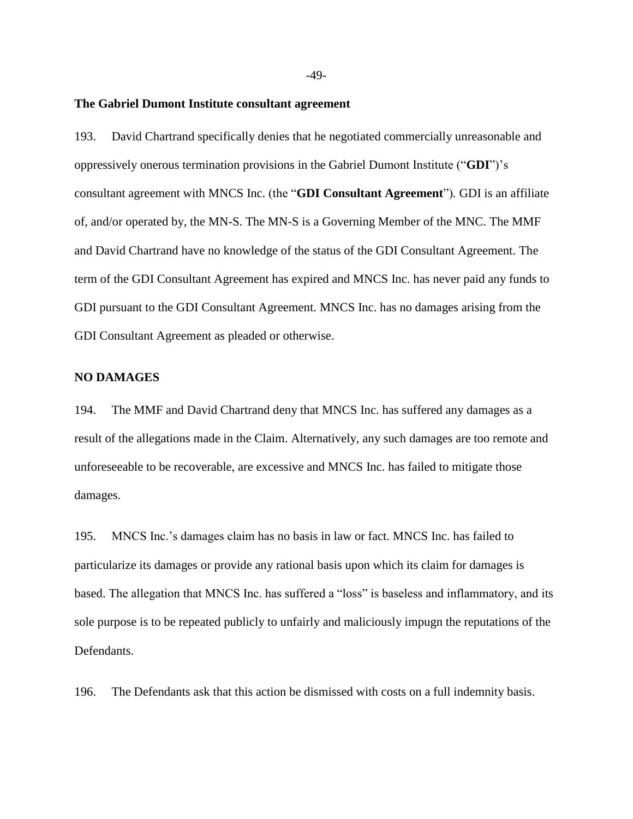#### **The Gabriel Dumont Institute consultant agreement**

193. David Chartrand specifically denies that he negotiated commercially unreasonable and oppressively onerous termination provisions in the Gabriel Dumont Institute ("**GDI**")'s consultant agreement with MNCS Inc. (the "**GDI Consultant Agreement**")*.* GDI is an affiliate of, and/or operated by, the MN-S. The MN-S is a Governing Member of the MNC. The MMF and David Chartrand have no knowledge of the status of the GDI Consultant Agreement. The term of the GDI Consultant Agreement has expired and MNCS Inc. has never paid any funds to GDI pursuant to the GDI Consultant Agreement. MNCS Inc. has no damages arising from the GDI Consultant Agreement as pleaded or otherwise.

#### **NO DAMAGES**

194. The MMF and David Chartrand deny that MNCS Inc. has suffered any damages as a result of the allegations made in the Claim. Alternatively, any such damages are too remote and unforeseeable to be recoverable, are excessive and MNCS Inc. has failed to mitigate those damages.

195. MNCS Inc.'s damages claim has no basis in law or fact. MNCS Inc. has failed to particularize its damages or provide any rational basis upon which its claim for damages is based. The allegation that MNCS Inc. has suffered a "loss" is baseless and inflammatory, and its sole purpose is to be repeated publicly to unfairly and maliciously impugn the reputations of the Defendants.

196. The Defendants ask that this action be dismissed with costs on a full indemnity basis.

-49-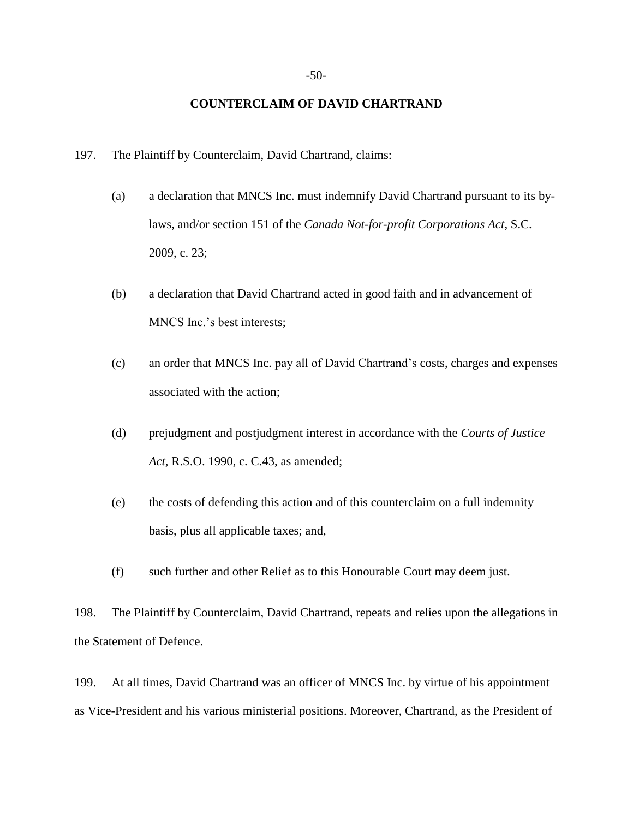#### **COUNTERCLAIM OF DAVID CHARTRAND**

- 197. The Plaintiff by Counterclaim, David Chartrand, claims:
	- (a) a declaration that MNCS Inc. must indemnify David Chartrand pursuant to its bylaws, and/or section 151 of the *Canada Not-for-profit Corporations Act*, S.C. 2009, c. 23;
	- (b) a declaration that David Chartrand acted in good faith and in advancement of MNCS Inc.'s best interests;
	- (c) an order that MNCS Inc. pay all of David Chartrand's costs, charges and expenses associated with the action;
	- (d) prejudgment and postjudgment interest in accordance with the *Courts of Justice Act*, R.S.O. 1990, c. C.43, as amended;
	- (e) the costs of defending this action and of this counterclaim on a full indemnity basis, plus all applicable taxes; and,
	- (f) such further and other Relief as to this Honourable Court may deem just.

198. The Plaintiff by Counterclaim, David Chartrand, repeats and relies upon the allegations in the Statement of Defence.

199. At all times, David Chartrand was an officer of MNCS Inc. by virtue of his appointment as Vice-President and his various ministerial positions. Moreover, Chartrand, as the President of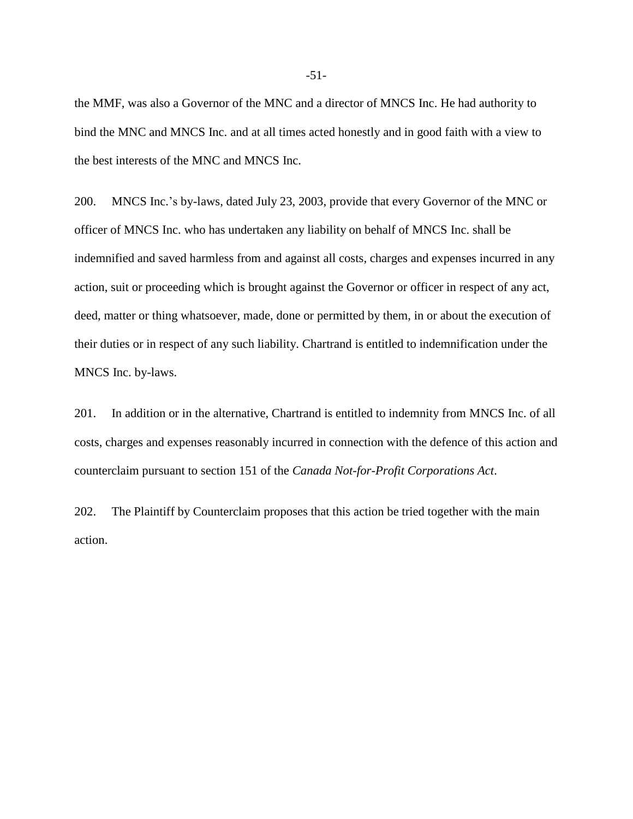the MMF, was also a Governor of the MNC and a director of MNCS Inc. He had authority to bind the MNC and MNCS Inc. and at all times acted honestly and in good faith with a view to the best interests of the MNC and MNCS Inc.

200. MNCS Inc.'s by-laws, dated July 23, 2003, provide that every Governor of the MNC or officer of MNCS Inc. who has undertaken any liability on behalf of MNCS Inc. shall be indemnified and saved harmless from and against all costs, charges and expenses incurred in any action, suit or proceeding which is brought against the Governor or officer in respect of any act, deed, matter or thing whatsoever, made, done or permitted by them, in or about the execution of their duties or in respect of any such liability. Chartrand is entitled to indemnification under the MNCS Inc. by-laws.

201. In addition or in the alternative, Chartrand is entitled to indemnity from MNCS Inc. of all costs, charges and expenses reasonably incurred in connection with the defence of this action and counterclaim pursuant to section 151 of the *Canada Not-for-Profit Corporations Act*.

202. The Plaintiff by Counterclaim proposes that this action be tried together with the main action.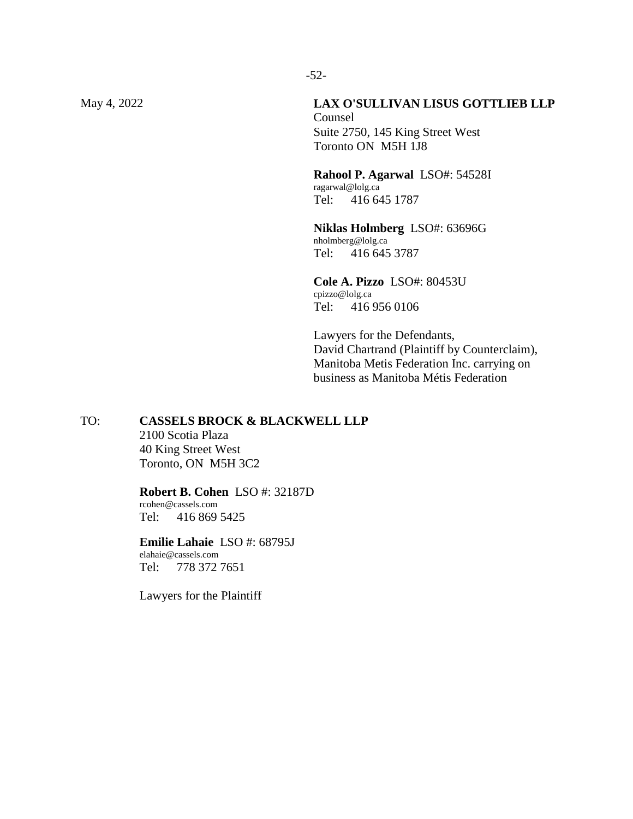### May 4, 2022 **LAX O'SULLIVAN LISUS GOTTLIEB LLP**

Counsel Suite 2750, 145 King Street West Toronto ON M5H 1J8

**Rahool P. Agarwal** LSO#: 54528I ragarwal@lolg.ca Tel: 416 645 1787

**Niklas Holmberg** LSO#: 63696G nholmberg@lolg.ca Tel: 416 645 3787

**Cole A. Pizzo** LSO#: 80453U cpizzo@lolg.ca Tel: 416 956 0106

Lawyers for the Defendants, David Chartrand (Plaintiff by Counterclaim), Manitoba Metis Federation Inc. carrying on business as Manitoba Métis Federation

### TO: **CASSELS BROCK & BLACKWELL LLP**

2100 Scotia Plaza 40 King Street West Toronto, ON M5H 3C2

#### **Robert B. Cohen** LSO #: 32187D rcohen@cassels.com Tel: 416 869 5425

**Emilie Lahaie** LSO #: 68795J elahaie@cassels.com Tel: 778 372 7651

Lawyers for the Plaintiff

-52-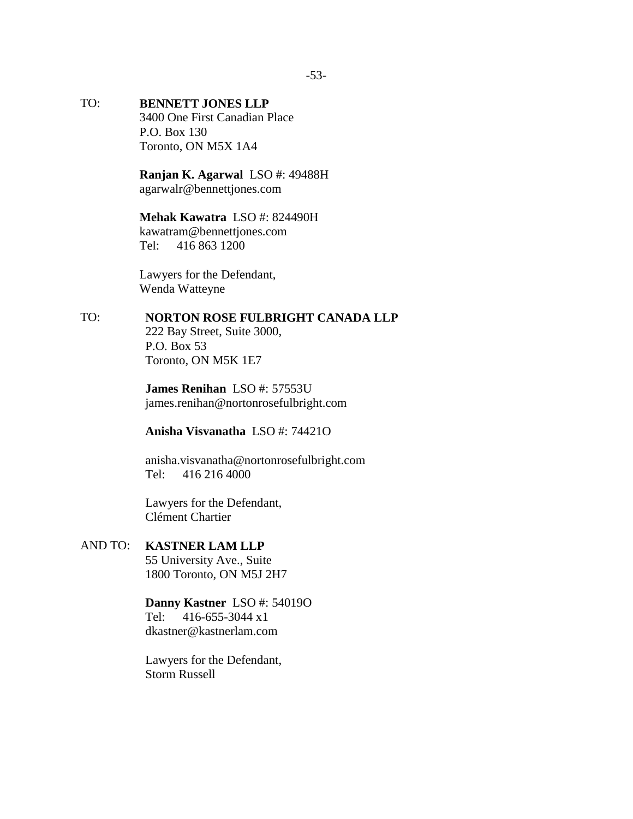# TO: **BENNETT JONES LLP** 3400 One First Canadian Place

P.O. Box 130 Toronto, ON M5X 1A4

**Ranjan K. Agarwal** LSO #: 49488H agarwalr@bennettjones.com

# **Mehak Kawatra** LSO #: 824490H

kawatram@bennettjones.com Tel: 416 863 1200

Lawyers for the Defendant, Wenda Watteyne

# TO: **NORTON ROSE FULBRIGHT CANADA LLP**

222 Bay Street, Suite 3000, P.O. Box 53 Toronto, ON M5K 1E7

**James Renihan** LSO #: 57553U [james.renihan@nortonrosefulbright.com](mailto:james.renihan@nortonrosefulbright.com)

**Anisha Visvanatha** LSO #: 74421O

anisha.visvanatha@nortonrosefulbright.com Tel: 416 216 4000

Lawyers for the Defendant, Clément Chartier

# AND TO: **KASTNER LAM LLP**

55 University Ave., Suite 1800 Toronto, ON M5J 2H7

# **Danny Kastner** LSO #: 54019O

Tel: 416-655-3044 x1 [dkastner@kastnerlam.com](mailto:dkastner@kastnerlam.com)

Lawyers for the Defendant, Storm Russell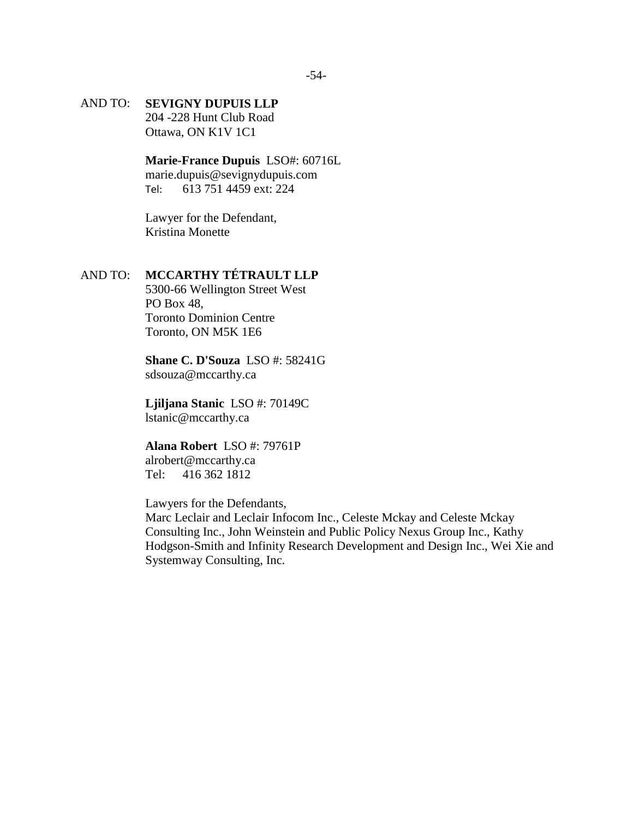# AND TO: **SEVIGNY DUPUIS LLP**

204 -228 Hunt Club Road Ottawa, ON K1V 1C1

**Marie-France Dupuis** LSO#: 60716L

[marie.dupuis@sevignydupuis.com](mailto:marie.dupuis@sevignydupuis.com) Tel: 613 751 4459 ext: 224

Lawyer for the Defendant, Kristina Monette

# AND TO: **MCCARTHY TÉTRAULT LLP**

5300-66 Wellington Street West PO Box 48, Toronto Dominion Centre Toronto, ON M5K 1E6

**Shane C. D'Souza** LSO #: 58241G [sdsouza@mccarthy.ca](mailto:sdsouza@mccarthy.ca)

**Ljiljana Stanic** LSO #: 70149C [lstanic@mccarthy.ca](mailto:lstanic@mccarthy.ca)

# **Alana Robert** LSO #: 79761P

alrobert@mccarthy.ca Tel: 416 362 1812

Lawyers for the Defendants,

Marc Leclair and Leclair Infocom Inc., Celeste Mckay and Celeste Mckay Consulting Inc., John Weinstein and Public Policy Nexus Group Inc., Kathy Hodgson-Smith and Infinity Research Development and Design Inc., Wei Xie and Systemway Consulting, Inc.